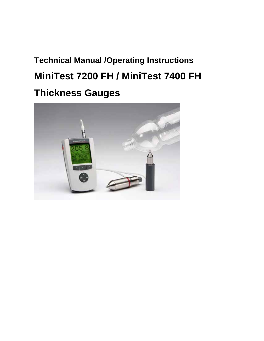# **Technical Manual /Operating Instructions MiniTest 7200 FH / MiniTest 7400 FH Thickness Gauges**

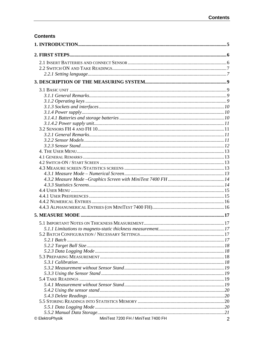## **Contents**

| © ElektroPhysik | MiniTest 7200 FH / MiniTest 7400 FH | $\overline{2}$ |
|-----------------|-------------------------------------|----------------|
|                 |                                     |                |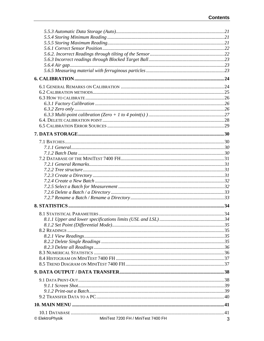| © ElektroPhysik | MiniTest 7200 FH / MiniTest 7400 FH | 3 |
|-----------------|-------------------------------------|---|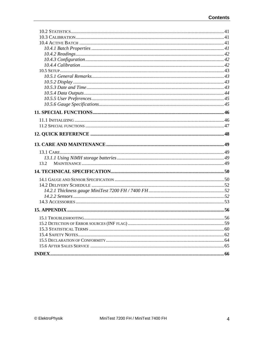| 13.2 |  |
|------|--|
|      |  |
|      |  |
|      |  |
|      |  |
|      |  |
|      |  |
|      |  |
|      |  |
|      |  |
|      |  |
|      |  |
|      |  |
|      |  |
|      |  |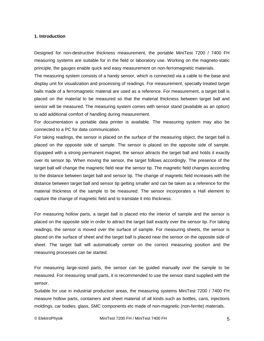#### **1. Introduction**

Designed for non-destructive thickness measurement, the portable MiniTest 7200 / 7400 FH measuring systems are suitable for in the field or laboratory use. Working on the magneto-static principle, the gauges enable quick and easy measurement on non-ferromagnetic materials.

The measuring system consists of a handy sensor, which is connected via a cable to the base and display unit for visualization and processing of readings. For measurement, specially treated target balls made of a ferromagnetic material are used as a reference. For measurement, a target ball is placed on the material to be measured so that the material thickness between target ball and sensor will be measured. The measuring system comes with sensor stand (available as an option) to add additional comfort of handling during measurement.

For documentation a portable data printer is available. The measuring system may also be connected to a PC for data communication.

For taking readings, the sensor is placed on the surface of the measuring object, the target ball is placed on the opposite side of sample. The sensor is placed on the opposite side of sample. Equipped with a strong permanent magnet, the sensor attracts the target ball and holds it exactly over its sensor tip. When moving the sensor, the target follows accordingly. The presence of the target ball will change the magnetic field near the sensor tip. The magnetic field changes according to the distance between target ball and sensor tip. The change of magnetic field increases with the distance between target ball and sensor tip getting smaller and can be taken as a reference for the material thickness of the sample to be measured. The sensor incorporates a Hall element to capture the change of magnetic field and to translate it into thickness.

For measuring hollow parts, a target ball is placed into the interior of sample and the sensor is placed on the opposite side in order to attract the target ball exactly over the sensor tip. For taking readings, the sensor is moved over the surface of sample. For measuring sheets, the sensor is placed on the surface of sheet and the target ball is placed near the sensor on the opposite side of sheet. The target ball will automatically center on the correct measuring position and the measuring processes can be started.

For measuring large-sized parts, the sensor can be guided manually over the sample to be measured. For measuring small parts, it is recommended to use the sensor stand supplied with the sensor.

Suitable for use in industrial production areas, the measuring systems MiniTest 7200 / 7400 FH measure hollow parts, containers and sheet material of all kinds such as bottles, cans, injections moldings, car bodies, glass, SMC components etc made of non-magnetic (non-ferrite) materials.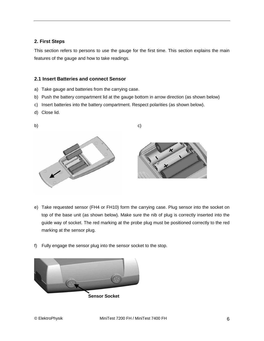## **2. First Steps**

This section refers to persons to use the gauge for the first time. This section explains the main features of the gauge and how to take readings.

## **2.1 Insert Batteries and connect Sensor**

- a) Take gauge and batteries from the carrying case.
- b) Push the battery compartment lid at the gauge bottom in arrow direction (as shown below)
- c) Insert batteries into the battery compartment. Respect polarities (as shown below).
- d) Close lid.



- e) Take requested sensor (FH4 or FH10) form the carrying case. Plug sensor into the socket on top of the base unit (as shown below). Make sure the nib of plug is correctly inserted into the guide way of socket. The red marking at the probe plug must be positioned correctly to the red marking at the sensor plug.
- f) Fully engage the sensor plug into the sensor socket to the stop.

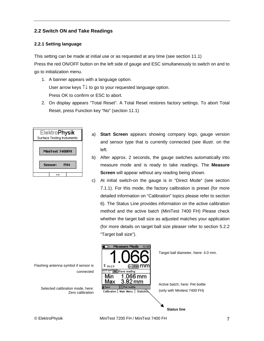## **2.2 Switch ON and Take Readings**

## **2.2.1 Setting language**

This setting can be made at initial use or as requested at any time (see section 11.1) Press the red ON/OFF button on the left side of gauge and ESC simultaneously to switch on and to go to initialization menu.

- 1. A banner appears with a language option. User arrow keys ↑↓ to go to your requested language option. Press OK to confirm or ESC to abort.
- 2. On display appears "Total Reset". A Total Reset restores factory settings. To abort Total Reset, press Function key "No" (section 11.1)

| Elektro <b>Physik</b><br>Surface Testing Instuments |  |  |
|-----------------------------------------------------|--|--|
| MiniTest 7400FH                                     |  |  |
| Sensor:<br>FH4                                      |  |  |
| 0.4                                                 |  |  |

- a) **Start Screen** appears showing company logo, gauge version and sensor type that is currently connected (see illustr. on the left.
- b) After approx. 2 seconds, the gauge switches automatically into measure mode and is ready to take readings. The **Measure Screen** will appear without any reading being shown.
- c) At initial switch-on the gauge is in "Direct Mode" (see section 7.1.1). For this mode, the factory calibration is preset (for more detailed information on "Calibration" topics please refer to section 6). The Status Line provides information on the active calibration method and the active batch (MiniTest 7400 FH) Please check whether the target ball size as adjusted matches your application (for more details on target ball size pleaser refer to section 5.2.2 "Target ball size").

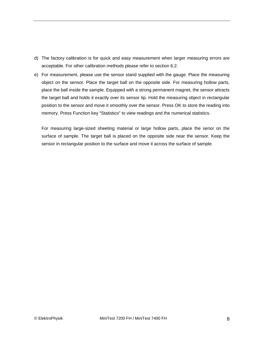- d) The factory calibration is for quick and easy measurement when larger measuring errors are acceptable. For other calibration methods please refer to section 6.2.
- e) For measurement, please use the sensor stand supplied with the gauge. Place the measuring object on the sensor. Place the target ball on the opposite side. For measuring hollow parts, place the ball inside the sample. Equipped with a strong permanent magnet, the sensor attracts the target ball and holds it exactly over its sensor tip. Hold the measuring object in rectangular position to the sensor and move it smoothly over the sensor. Press OK to store the reading into memory. Press Function key "Statistics" to view readings and the numerical statistics.

For measuring large-sized sheeting material or large hollow parts, place the senor on the surface of sample. The target ball is placed on the opposite side near the sensor. Keep the sensor in rectangular position to the surface and move it across the surface of sample.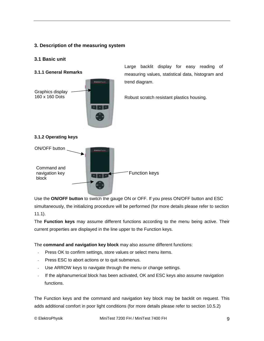## **3. Description of the measuring system**

## **3.1 Basic unit**

**3.1.1 General Remarks** 



Large backlit display for easy reading of measuring values, statistical data, histogram and trend diagram.

Robust scratch resistant plastics housing.

## **3.1.2 Operating keys**



Use the **ON/OFF button** to switch the gauge ON or OFF. If you press ON/OFF button and ESC

simultaneously, the initializing procedure will be performed (for more details please refer to section 11.1).

The **Function keys** may assume different functions according to the menu being active. Their current properties are displayed in the line upper to the Function keys.

The **command and navigation key block** may also assume different functions:

- Press OK to confirm settings, store values or select menu items.
- Press ESC to abort actions or to quit submenus.
- Use ARROW keys to navigate through the menu or change settings.
- If the alphanumerical block has been activated, OK and ESC keys also assume navigation functions.

The Function keys and the command and navigation key block may be backlit on request. This adds additional comfort in poor light conditions (for more details please refer to section 10.5.2)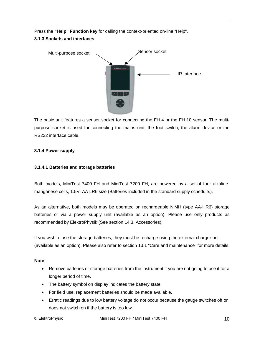Press the **"Help" Function key** for calling the context-oriented on-line "Help".

## **3.1.3 Sockets and interfaces**



The basic unit features a sensor socket for connecting the FH 4 or the FH 10 sensor. The multipurpose socket is used for connecting the mains unit, the foot switch, the alarm device or the RS232 interface cable.

## **3.1.4 Power supply**

## **3.1.4.1 Batteries and storage batteries**

Both models, MiniTest 7400 FH and MiniTest 7200 FH, are powered by a set of four alkalinemanganese cells, 1.5V, AA LR6 size (Batteries included in the standard supply schedule.).

As an alternative, both models may be operated on rechargeable NiMH (type AA-HR6) storage batteries or via a power supply unit (available as an option). Please use only products as recommended by ElektroPhysik (See section 14.3, Accessories).

If you wish to use the storage batteries, they must be recharge using the external charger unit (available as an option). Please also refer to section 13.1 "Care and maintenance" for more details.

## **Note:**

- Remove batteries or storage batteries from the instrument if you are not going to use it for a longer period of time.
- The battery symbol on display indicates the battery state.
- For field use, replacement batteries should be made available.
- Erratic readings due to low battery voltage do not occur because the gauge switches off or does not switch on if the battery is too low.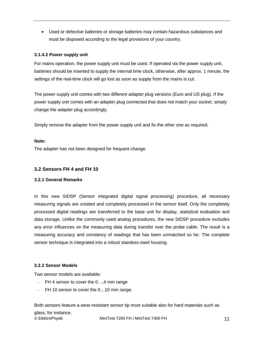• Used or defective batteries or storage batteries may contain hazardous substances and must be disposed according to the legal provisions of your country.

## **3.1.4.2 Power supply unit**

For mains operation, the power supply unit must be used. If operated via the power supply unit, batteries should be inserted to supply the internal time clock, otherwise, after approx. 1 minute, the settings of the real-time clock will go lost as soon as supply from the mains is cut.

The power supply unit comes with two different adapter plug versions (Euro and US plug). If the power supply unit comes with an adapter plug connected that does not match your socket, simply change the adapter plug accordingly.

Simply remove the adapter from the power supply unit and fix the other one as required.

## **Note:**

The adapter has not been designed for frequent change.

## **3.2 Sensors FH 4 and FH 10**

## **3.2.1 General Remarks**

In this new SIDSP (Sensor integrated digital signal processing) procedure, all necessary measuring signals are created and completely processed in the sensor itself. Only the completely processed digital readings are transferred to the base unit for display, statistical evaluation and data storage. Unlike the commonly used analog procedures, the new SIDSP procedure excludes any error influences on the measuring data during transfer over the probe cable. The result is a measuring accuracy and constancy of readings that has been unmatched so far. The complete sensor technique is integrated into a robust stainless-steel housing.

## **3.2.2 Sensor Models**

Two sensor models are available:

- FH 4 sensor to cover the 0 ...4 mm range
- FH 10 sensor to cover the 0...10 mm range.

© ElektroPhysik MiniTest 7200 FH / MiniTest 7400 FH 11 Both sensors feature a wear-resistant sensor tip most suitable also for hard materials such as glass, for instance.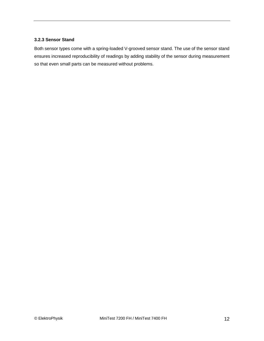#### **3.2.3 Sensor Stand**

Both sensor types come with a spring-loaded V-grooved sensor stand. The use of the sensor stand ensures increased reproducibility of readings by adding stability of the sensor during measurement so that even small parts can be measured without problems.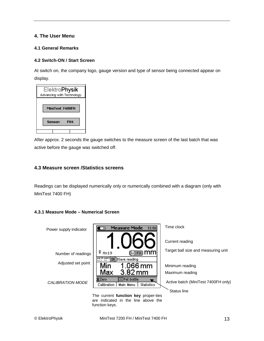## **4. The User Menu**

## **4.1 General Remarks**

## **4.2 Switch-ON / Start Screen**

At switch on, the company logo, gauge version and type of sensor being connected appear on display.



After approx. 2 seconds the gauge switches to the measure screen of the last batch that was active before the gauge was switched off.

## **4.3 Measure screen /Statistics screens**

Readings can be displayed numerically only or numerically combined with a diagram (only with MiniTest 7400 FH)

## **4.3.1 Measure Mode – Numerical Screen**



are indicated in the line above the function keys.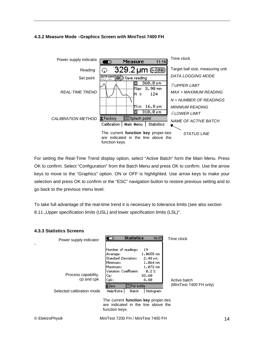## **4.3.2 Measure Mode –Graphics Screen with MiniTest 7400 FH**



For setting the Real-Time Trend display option, select "Active Batch" form the Main Menu. Press OK to confirm. Select "Configuration" from the Batch Menu and press OK to confirm. Use the arrow keys to move to the "Graphics" option. ON or OFF is highlighted. Use arrow keys to make your selection and press OK to confirm or the "ESC" navigation button to restore previous setting and to go back to the previous menu level.

To take full advantage of the real-time trend it is necessary to tolerance limits (see also section 8.11 "Upper specification limits (USL) and lower specification limits (LSL)".

| דוטיוט פוועט נאזט טייד                                         |                                                                                                                                                                                                                                                                                                                                                                                                                                       |                                         |
|----------------------------------------------------------------|---------------------------------------------------------------------------------------------------------------------------------------------------------------------------------------------------------------------------------------------------------------------------------------------------------------------------------------------------------------------------------------------------------------------------------------|-----------------------------------------|
| Power supply indicator<br>,                                    | <b>Statistics</b><br>14:37<br>⊂⊙                                                                                                                                                                                                                                                                                                                                                                                                      | Time clock                              |
| Process capability,<br>cp and cpk<br>Selected calibration mode | Number of readings:<br>19<br>1.0655 mm<br>Average:<br><b>Standard Deviation:</b><br>$2.48 \,\mathrm{\mu m}$<br>1.064 mm<br>Minimum:<br>1.072 mm<br>Maximum:<br>Variation Coefficient:<br>0.27<br>Cp:<br>33.60<br> Cpk:<br>8.80<br>$\overline{\mathbf{\mathsf{Z}Z}}$ ero<br><b>ElPet bottle</b><br>Help/Extra  <br>Histogram<br>Batch<br>The current function key proper-ties<br>are indicated in the line above the<br>function keys. | Active batch<br>(MiniTest 7400 FH only) |

# **4.3.3 Statistics Screens**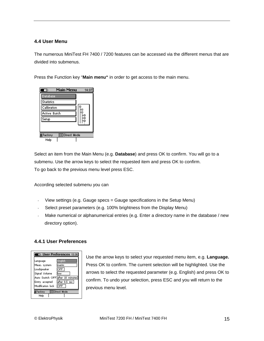## **4.4 User Menu**

The numerous MiniTest FH 7400 / 7200 features can be accessed via the different menus that are divided into submenus.

Press the Function key "**Main menu"** in order to get access to the main menu.



Select an item from the Main Menu (e.g. **Database**) and press OK to confirm. You will go to a submenu. Use the arrow keys to select the requested item and press OK to confirm. To go back to the previous menu level press ESC.

According selected submenu you can

- View settings (e.g. Gauge specs = Gauge specifications in the Setup Menu)
- Select preset parameters (e.g. 100% brightness from the Display Menu)
- Make numerical or alphanumerical entries (e.g. Enter a directory name in the database / new directory option).

## **4.4.1 User Preferences**

| <b>। User Preferences १३:३६</b>  |               |  |
|----------------------------------|---------------|--|
| Language                         | English       |  |
| Meas, system                     | lmetric       |  |
| Loudspeaker                      | OFF           |  |
| Signal Volume                    | llow          |  |
| Auto Switch OFF after 10 minutes |               |  |
| Entry accepted                   | after 0.5 sec |  |
| Modification lock                | <b>OFF</b>    |  |
| <b>EDirect Mode</b><br>Factory   |               |  |
| Help                             |               |  |

Use the arrow keys to select your requested menu item, e.g. **Language.** Press OK to confirm. The current selection will be highlighted. Use the arrows to select the requested parameter (e.g. English) and press OK to confirm. To undo your selection, press ESC and you will return to the previous menu level.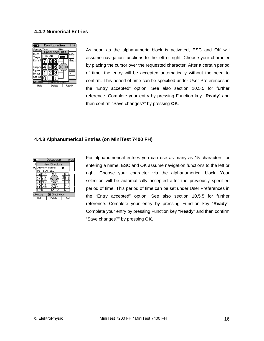## **4.4.2 Numerical Entries**



As soon as the alphanumeric block is activated, ESC and OK will assume navigation functions to the left or right. Choose your character by placing the cursor over the requested character. After a certain period of time, the entry will be accepted automatically without the need to confirm. This period of time can be specified under User Preferences in the "Entry accepted" option. See also section 10.5.5 for further reference. Complete your entry by pressing Function key **"Ready**" and then confirm "Save changes?" by pressing **OK**.

## **4.4.3 Alphanumerical Entries (on MiniTest 7400 FH)**



For alphanumerical entries you can use as many as 15 characters for entering a name. ESC and OK assume navigation functions to the left or right. Choose your character via the alphanumerical block. Your selection will be automatically accepted after the previously specified period of time. This period of time can be set under User Preferences in the "Entry accepted" option. See also section 10.5.5 for further reference. Complete your entry by pressing Function key "**Ready**". Complete your entry by pressing Function key **"Ready**" and then confirm "Save changes?" by pressing **OK**.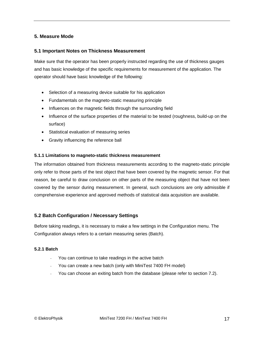## **5. Measure Mode**

## **5.1 Important Notes on Thickness Measurement**

Make sure that the operator has been properly instructed regarding the use of thickness gauges and has basic knowledge of the specific requirements for measurement of the application. The operator should have basic knowledge of the following:

- Selection of a measuring device suitable for his application
- Fundamentals on the magneto-static measuring principle
- Influences on the magnetic fields through the surrounding field
- Influence of the surface properties of the material to be tested (roughness, build-up on the surface)
- Statistical evaluation of measuring series
- Gravity influencing the reference ball

#### **5.1.1 Limitations to magneto-static thickness measurement**

The information obtained from thickness measurements according to the magneto-static principle only refer to those parts of the test object that have been covered by the magnetic sensor. For that reason, be careful to draw conclusion on other parts of the measuring object that have not been covered by the sensor during measurement. In general, such conclusions are only admissible if comprehensive experience and approved methods of statistical data acquisition are available.

## **5.2 Batch Configuration / Necessary Settings**

Before taking readings, it is necessary to make a few settings in the Configuration menu. The Configuration always refers to a certain measuring series (Batch).

## **5.2.1 Batch**

- You can continue to take readings in the active batch
- You can create a new batch (only with MiniTest 7400 FH model)
- You can choose an exiting batch from the database (please refer to section 7.2).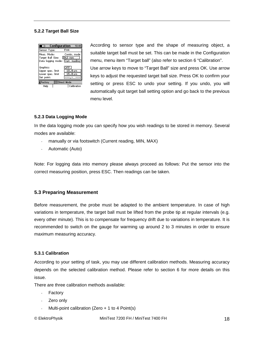## **5.2.2 Target Ball Size**

| Configuration                                                        | 10:49                                                 |
|----------------------------------------------------------------------|-------------------------------------------------------|
| Sensor Type:                                                         | FH <sub>4</sub>                                       |
| Meas. Mode:<br>Target Ball Size:<br>Data logging mode: Curr. reading | Contin,mode<br>194.0 mm                               |
| Graphics:<br>Upper spec, limit<br>Lower spec. limit<br>Set point:    | OFF<br>$18.0 \text{µm}$<br>$15.0 \text{ }\mu\text{m}$ |
| <b>¥Factor</b> y                                                     | <b>EDirect Mode</b>                                   |
| Help                                                                 | Calibration                                           |

According to sensor type and the shape of measuring object, a suitable target ball must be set. This can be made in the Configuration menu, menu item "Target ball" (also refer to section 6 "Calibration". Use arrow keys to move to "Target Ball" size and press OK. Use arrow keys to adjust the requested target ball size. Press OK to confirm your setting or press ESC to undo your setting. If you undo, you will automatically quit target ball setting option and go back to the previous menu level.

#### **5.2.3 Data Logging Mode**

In the data logging mode you can specify how you wish readings to be stored in memory. Several modes are available:

- manually or via footswitch (Current reading, MIN, MAX)
- Automatic (Auto)

Note: For logging data into memory please always proceed as follows: Put the sensor into the correct measuring position, press ESC. Then readings can be taken.

## **5.3 Preparing Measurement**

Before measurement, the probe must be adapted to the ambient temperature. In case of high variations in temperature, the target ball must be lifted from the probe tip at regular intervals (e.g. every other minute). This is to compensate for frequency drift due to variations in temperature. It is recommended to switch on the gauge for warming up around 2 to 3 minutes in order to ensure maximum measuring accuracy.

#### **5.3.1 Calibration**

According to your setting of task, you may use different calibration methods. Measuring accuracy depends on the selected calibration method. Please refer to section 6 for more details on this issue.

There are three calibration methods available:

- **Factory**
- Zero only
- Multi-point calibration (Zero  $+ 1$  to 4 Point(s)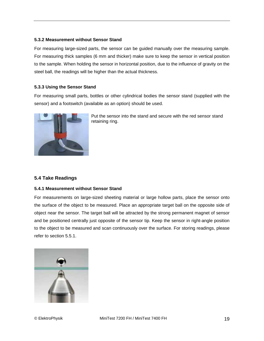## **5.3.2 Measurement without Sensor Stand**

For measuring large-sized parts, the sensor can be guided manually over the measuring sample. For measuring thick samples (6 mm and thicker) make sure to keep the sensor in vertical position to the sample. When holding the sensor in horizontal position, due to the influence of gravity on the steel ball, the readings will be higher than the actual thickness.

#### **5.3.3 Using the Sensor Stand**

For measuring small parts, bottles or other cylindrical bodies the sensor stand (supplied with the sensor) and a footswitch (available as an option) should be used.



Put the sensor into the stand and secure with the red sensor stand retaining ring.

## **5.4 Take Readings**

## **5.4.1 Measurement without Sensor Stand**

For measurements on large-sized sheeting material or large hollow parts, place the sensor onto the surface of the object to be measured. Place an appropriate target ball on the opposite side of object near the sensor. The target ball will be attracted by the strong permanent magnet of sensor and be positioned centrally just opposite of the sensor tip. Keep the sensor in right-angle position to the object to be measured and scan continuously over the surface. For storing readings, please refer to section 5.5.1.

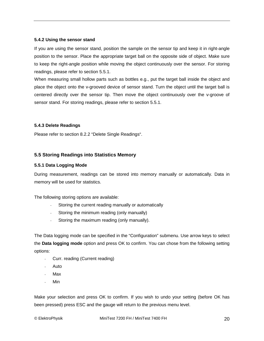#### **5.4.2 Using the sensor stand**

If you are using the sensor stand, position the sample on the sensor tip and keep it in right-angle position to the sensor. Place the appropriate target ball on the opposite side of object. Make sure to keep the right-angle position while moving the object continuously over the sensor. For storing readings, please refer to section 5.5.1.

When measuring small hollow parts such as bottles e.g., put the target ball inside the object and place the object onto the v-grooved device of sensor stand. Turn the object until the target ball is centered directly over the sensor tip. Then move the object continuously over the v-groove of sensor stand. For storing readings, please refer to section 5.5.1.

## **5.4.3 Delete Readings**

Please refer to section 8.2.2 "Delete Single Readings".

## **5.5 Storing Readings into Statistics Memory**

#### **5.5.1 Data Logging Mode**

During measurement, readings can be stored into memory manually or automatically. Data in memory will be used for statistics.

The following storing options are available:

- Storing the current reading manually or automatically
- Storing the minimum reading (only manually)
- Storing the maximum reading (only manually).

The Data logging mode can be specified in the "Configuration" submenu. Use arrow keys to select the **Data logging mode** option and press OK to confirm. You can chose from the following setting options:

- Curr. reading (Current reading)
- Auto
- Max
- Min

Make your selection and press OK to confirm. If you wish to undo your setting (before OK has been pressed) press ESC and the gauge will return to the previous menu level.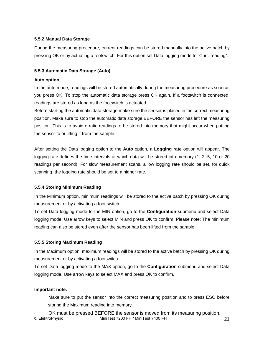## **5.5.2 Manual Data Storage**

During the measuring procedure, current readings can be stored manually into the active batch by pressing OK or by actuating a footswitch. For this option set Data logging mode to "Curr. reading".

## **5.5.3 Automatic Data Storage (Auto)**

## **Auto option**

In the auto mode, readings will be stored automatically during the measuring procedure as soon as you press OK. To stop the automatic data storage press OK again. If a footswitch is connected, readings are stored as long as the footswitch is actuated.

Before starting the automatic data storage make sure the sensor is placed in the correct measuring position. Make sure to stop the automatic data storage BEFORE the sensor has left the measuring position. This is to avoid erratic readings to be stored into memory that might occur when putting the sensor to or lifting it from the sample.

After setting the Data logging option to the **Auto** option, a **Logging rate** option will appear. The logging rate defines the time intervals at which data will be stored into memory (1, 2, 5, 10 or 20 readings per second). For slow measurement scans, a low logging rate should be set, for quick scanning, the logging rate should be set to a higher rate.

## **5.5.4 Storing Minimum Reading**

In the Minimum option, minimum readings will be stored to the active batch by pressing OK during measurement or by activating a foot switch.

To set Data logging mode to the MIN option, go to the **Configuration** submenu and select Data logging mode. Use arrow keys to select MIN and press OK to confirm. Please note: The minimum reading can also be stored even after the sensor has been lifted from the sample.

## **5.5.5 Storing Maximum Reading**

In the Maximum option, maximum readings will be stored to the active batch by pressing OK during measurement or by activating a footswitch.

To set Data logging mode to the MAX option, go to the **Configuration** submenu and select Data logging mode. Use arrow keys to select MAX and press OK to confirm.

## **Important note:**

- Make sure to put the sensor into the correct measuring position and to press ESC before storing the Maximum reading into memory.
- © ElektroPhysik MiniTest 7200 FH / MiniTest 7400 FH 21 OK must be pressed BEFORE the sensor is moved from its measuring position.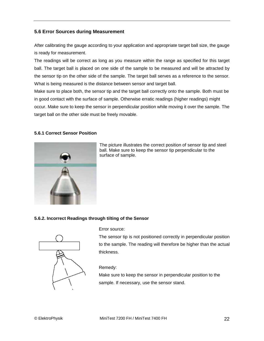## **5.6 Error Sources during Measurement**

After calibrating the gauge according to your application and appropriate target ball size, the gauge is ready for measurement.

The readings will be correct as long as you measure within the range as specified for this target ball. The target ball is placed on one side of the sample to be measured and will be attracted by the sensor tip on the other side of the sample. The target ball serves as a reference to the sensor. What is being measured is the distance between sensor and target ball.

Make sure to place both, the sensor tip and the target ball correctly onto the sample. Both must be in good contact with the surface of sample. Otherwise erratic readings (higher readings) might occur. Make sure to keep the sensor in perpendicular position while moving it over the sample. The target ball on the other side must be freely movable.

## **5.6.1 Correct Sensor Position**



The picture illustrates the correct position of sensor tip and steel ball. Make sure to keep the sensor tip perpendicular to the surface of sample.

## **5.6.2. Incorrect Readings through tilting of the Sensor**



Error source:

The sensor tip is not positioned correctly in perpendicular position to the sample. The reading will therefore be higher than the actual thickness.

## Remedy:

Make sure to keep the sensor in perpendicular position to the sample. If necessary, use the sensor stand.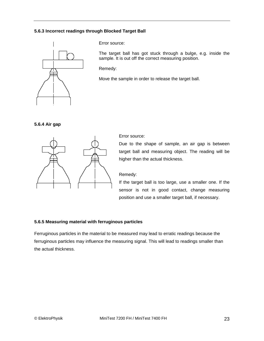## **5.6.3 Incorrect readings through Blocked Target Ball**



Error source:

The target ball has got stuck through a bulge, e.g. inside the sample. It is out off the correct measuring position.

Remedy:

Move the sample in order to release the target ball.





Error source:

Due to the shape of sample, an air gap is between target ball and measuring object. The reading will be higher than the actual thickness.

Remedy:

If the target ball is too large, use a smaller one. If the sensor is not in good contact, change measuring position and use a smaller target ball, if necessary.

## **5.6.5 Measuring material with ferruginous particles**

Ferruginous particles in the material to be measured may lead to erratic readings because the ferruginous particles may influence the measuring signal. This will lead to readings smaller than the actual thickness.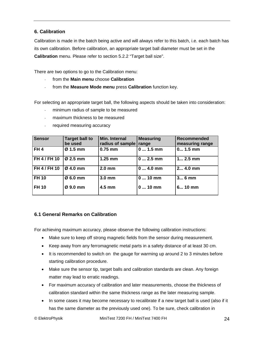## **6. Calibration**

Calibration is made in the batch being active and will always refer to this batch, i.e. each batch has its own calibration. Before calibration, an appropriate target ball diameter must be set in the **Calibration** menu. Please refer to section 5.2.2 "Target ball size".

There are two options to go to the Calibration menu:

- from the **Main menu** choose **Calibration**
- from the **Measure Mode menu** press **Calibration** function key.

For selecting an appropriate target ball, the following aspects should be taken into consideration:

- minimum radius of sample to be measured
- maximum thickness to be measured
- required measuring accuracy

| <b>Sensor</b>   | <b>Target ball to</b><br>be used | Min. Internal<br>radius of sample | <b>Measuring</b><br>range | <b>Recommended</b><br>measuring range |
|-----------------|----------------------------------|-----------------------------------|---------------------------|---------------------------------------|
| FH <sub>4</sub> | $Ø1.5$ mm                        | $0.75$ mm                         | $0 1.5$ mm                | $0 1.5$ mm                            |
| FH 4 / FH 10    | $Ø$ 2.5 mm                       | $1.25$ mm                         | $0 2.5$ mm                | $1 2.5$ mm                            |
| FH 4 / FH 10    | $Ø$ 4.0 mm                       | $2.0$ mm                          | $04.0$ mm                 | 2 4.0 mm                              |
| <b>FH 10</b>    | Ø 6.0 mm                         | 3.0 <sub>mm</sub>                 | $010$ mm                  | 3 6 mm                                |
| <b>FH 10</b>    | $Ø$ 9.0 mm                       | 4.5 mm                            | $010$ mm                  | 6 10 mm                               |

## **6.1 General Remarks on Calibration**

For achieving maximum accuracy, please observe the following calibration instructions:

- Make sure to keep off strong magnetic fields from the sensor during measurement.
- Keep away from any ferromagnetic metal parts in a safety distance of at least 30 cm.
- It is recommended to switch on the gauge for warming up around 2 to 3 minutes before starting calibration procedure.
- Make sure the sensor tip, target balls and calibration standards are clean. Any foreign matter may lead to erratic readings.
- For maximum accuracy of calibration and later measurements, choose the thickness of calibration standard within the same thickness range as the later measuring sample.
- In some cases it may become necessary to recalibrate if a new target ball is used (also if it has the same diameter as the previously used one). To be sure, check calibration in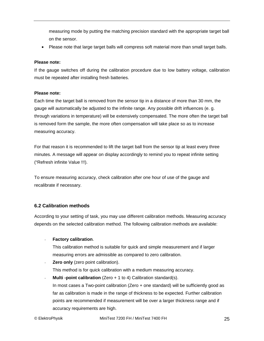measuring mode by putting the matching precision standard with the appropriate target ball on the sensor.

• Please note that large target balls will compress soft material more than small target balls.

#### **Please note:**

If the gauge switches off during the calibration procedure due to low battery voltage, calibration must be repeated after installing fresh batteries.

#### **Please note:**

Each time the target ball is removed from the sensor tip in a distance of more than 30 mm, the gauge will automatically be adjusted to the infinite range. Any possible drift influences (e. g. through variations in temperature) will be extensively compensated. The more often the target ball is removed form the sample, the more often compensation will take place so as to increase measuring accuracy.

For that reason it is recommended to lift the target ball from the sensor tip at least every three minutes. A message will appear on display accordingly to remind you to repeat infinite setting ("Refresh infinite Value !!!).

To ensure measuring accuracy, check calibration after one hour of use of the gauge and recalibrate if necessary.

## **6.2 Calibration methods**

According to your setting of task, you may use different calibration methods. Measuring accuracy depends on the selected calibration method. The following calibration methods are available:

## - **Factory calibration**.

This calibration method is suitable for quick and simple measurement and if larger measuring errors are admissible as compared to zero calibration.

- **Zero only** (zero point calibration). This method is for quick calibration with a medium measuring accuracy.
- **Multi -point calibration** (Zero + 1 to 4) Calibration standard(s). In most cases a Two-point calibration (Zero + one standard) will be sufficiently good as far as calibration is made in the range of thickness to be expected. Further calibration points are recommended if measurement will be over a larger thickness range and if

accuracy requirements are high.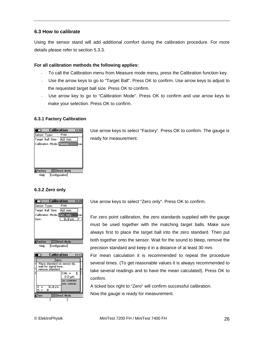## **6.3 How to calibrate**

Using the sensor stand will add additional comfort during the calibration procedure. For more details please refer to section 5.3.3.

## **For all calibration methods the following applies:**

- To call the Calibration menu from Measure mode menu, press the Calibration function key.
- Use the arrow keys to go to "Target Ball". Press OK to confirm. Use arrow keys to adjust to the requested target ball size. Press OK to confirm.
- Use arrow key to go to "Calibration Mode". Press OK to confirm and use arrow keys to make your selection. Press OK to confirm.

## **6.3.1 Factory Calibration**

-



Use arrow keys to select "Factory". Press OK to confirm. The gauge is ready for measurement.

## **6.3.2 Zero only**





Use arrow keys to select "Zero only". Press OK to confirm.

For zero point calibration, the zero standards supplied with the gauge must be used together with the matching target balls. Make sure always first to place the target ball into the zero standard. Then put both together onto the sensor. Wait for the sound to bleep, remove the precision standard and keep it in a distance of at least 30 mm.

For mean calculation it is recommended to repeat the procedure several times. (To get reasonable values it is always recommended to take several readings and to have the mean calculated). Press OK to confirm.

A ticked box right to "Zero" will confirm successful calibration. Now the gauge is ready for measurement.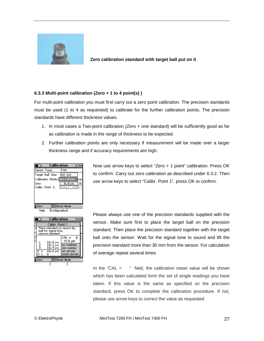

**Zero calibration standard with target ball put on it** 

## **6.3.3 Multi-point calibration (Zero + 1 to 4 point(s) )**

For multi-point calibration you must first carry out a zero point calibration. The precision standards must be used (1 to 4 as requested) to calibrate for the further calibration points. The precision standards have different thickness values.

- 1. In most cases a Two-point calibration (Zero + one standard) will be sufficiently good as far as calibration is made in the range of thickness to be expected.
- 2. Further calibration points are only necessary if measurement will be made over a larger thickness range and if accuracy requirements are high.



|                             | Calibration<br>14:08<br>ত                                                  |                                                          |         |                                                                         |   |  |
|-----------------------------|----------------------------------------------------------------------------|----------------------------------------------------------|---------|-------------------------------------------------------------------------|---|--|
|                             |                                                                            | Calibr, Point 1:                                         |         |                                                                         |   |  |
|                             | Place standard on sensor tip,<br>wait for signal tone,<br>remove standard. |                                                          |         |                                                                         |   |  |
| C<br>Z<br>C                 | <u>ဉ်</u><br>$\overline{\mathbf{x}}$<br>Ξ<br>з                             | $10.5 \,\mathrm{\nu m}$<br>10.2 pm<br>10.9 pm<br>10.6 pm | $CAL =$ | 10.6 µm<br>OK-CONFIRM<br><b>ESC-CANCEL</b><br>UP-SET CAL<br>DOWN-SETCAL | т |  |
| <b>EDirect Mode</b><br>Zero |                                                                            |                                                          |         |                                                                         |   |  |
|                             |                                                                            |                                                          |         |                                                                         |   |  |

Now use arrow keys to select "Zero + 1 point" calibration. Press OK to confirm. Carry out zero calibration as described under 6.3.2. Then use arrow keys to select "Calibr. Point 1", press OK to confirm.

Please always use one of the precision standards supplied with the sensor. Make sure first to place the target ball on the precision standard. Then place the precision standard together with the target ball onto the sensor. Wait for the signal tone to sound and lift the precision standard more than 30 mm from the sensor. For calculation of average repeat several times.

In the "CAL  $=$  " field, the calibration mean value will be shown which has been calculated form the set of single readings you have taken. If this value is the same as specified on the precision standard, press OK to complete the calibration procedure. If not, please use arrow keys to correct the value as requested.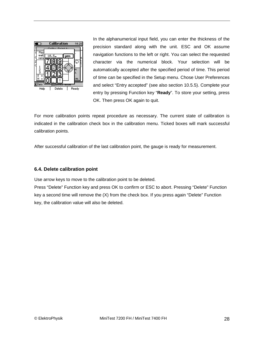

In the alphanumerical input field, you can enter the thickness of the precision standard along with the unit. ESC and OK assume navigation functions to the left or right. You can select the requested character via the numerical block. Your selection will be automatically accepted after the specified period of time. This period of time can be specified in the Setup menu. Chose User Preferences and select "Entry accepted" (see also section 10.5.5). Complete your entry by pressing Function key "**Ready**". To store your setting, press OK. Then press OK again to quit.

For more calibration points repeat procedure as necessary. The current state of calibration is indicated in the calibration check box in the calibration menu. Ticked boxes will mark successful calibration points.

After successful calibration of the last calibration point, the gauge is ready for measurement.

## **6.4. Delete calibration point**

Use arrow keys to move to the calibration point to be deleted.

Press "Delete" Function key and press OK to confirm or ESC to abort. Pressing "Delete" Function key a second time will remove the (X) from the check box. If you press again "Delete" Function key, the calibration value will also be deleted.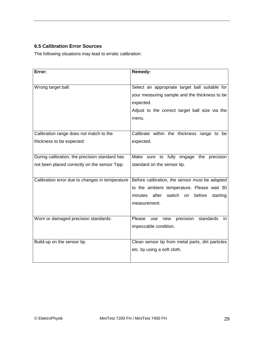# **6.5 Calibration Error Sources**

The following situations may lead to erratic calibration:

| Error:                                          | <b>Remedy:</b>                                         |
|-------------------------------------------------|--------------------------------------------------------|
|                                                 |                                                        |
| Wrong target ball:                              | Select an appropriate target ball suitable for         |
|                                                 | your measuring sample and the thickness to be          |
|                                                 | expected.                                              |
|                                                 | Adjust to the correct target ball size via the         |
|                                                 | menu.                                                  |
|                                                 |                                                        |
| Calibration range does not match to the         | Calibrate within the thickness range to be             |
| thickness to be expected:                       | expected.                                              |
|                                                 |                                                        |
| During calibration, the precision standard has  | Make sure to fully engage the<br>precision             |
| not been placed correctly on the sensor Tipp.   | standard on the sensor tip.                            |
|                                                 |                                                        |
| Calibration error due to changes in temperature | Before calibration, the sensor must be adapted         |
|                                                 | to the ambient temperature. Please wait 30             |
|                                                 | minutes<br>after<br>switch<br>before<br>on<br>starting |
|                                                 | measurement.                                           |
|                                                 |                                                        |
| Worn or damaged precision standards:            | Please<br>precision standards<br>use<br>new<br>in      |
|                                                 | impeccable condition.                                  |
|                                                 |                                                        |
| Build-up on the sensor tip.                     | Clean sensor tip from metal parts, dirt particles      |
|                                                 | etc. by using a soft cloth.                            |
|                                                 |                                                        |
|                                                 |                                                        |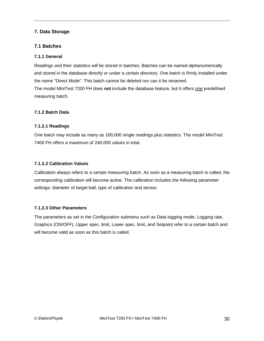## **7. Data Storage**

## **7.1 Batches**

## **7.1.1 General**

Readings and their statistics will be stored in batches. Batches can be named alphanumerically and stored in the database directly or under a certain directory. One batch is firmly installed under the name "Direct Mode". This batch cannot be deleted nor can it be renamed. The model MiniTest 7200 FH does **not i**nclude the database feature, but it offers one predefined measuring batch.

## **7.1.2 Batch Data**

## **7.1.2.1 Readings**

One batch may include as many as 100,000 single readings plus statistics. The model MiniTest 7400 FH offers a maximum of 240,000 values in total.

## **7.1.2.2 Calibration Values**

Calibration always refers to a certain measuring batch. As soon as a measuring batch is called, the corresponding calibration will become active. The calibration includes the following parameter settings: diameter of target ball, type of calibration and sensor.

## **7.1.2.3 Other Parameters**

The parameters as set in the Configuration submenu such as Data logging mode, Logging rate, Graphics (ON/OFF), Upper spec. limit, Lower spec. limit, and Setpoint refer to a certain batch and will become valid as soon as this batch is called.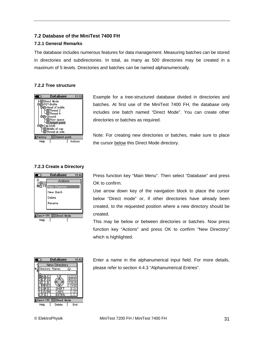## **7.2 Database of the MiniTest 7400 FH**

#### **7.2.1 General Remarks**

The database includes numerous features for data management. Measuring batches can be stored in directories and subdirectories. In total, as many as 500 directories may be created in a maximum of 5 levels. Directories and batches can be named alphanumerically.

#### **7.2.2 Tree structure**



Example for a tree-structured database divided in directories and batches. At first use of the MiniTest 7400 FH, the database only includes one batch named "Direct Mode". You can create other directories or batches as required.

Note: For creating new directories or batches, make sure to place the cursor below this Direct Mode directory.

#### **7.2.3 Create a Directory**





Press function key "Main Menu". Then select "Database" and press OK to confirm.

Use arrow down key of the navigation block to place the cursor below "Direct mode" or, if other directories have already been created, to the requested position where a new directory should be created.

This may be below or between directories or batches. Now press function key "Actions" and press OK to confirm "New Directory" which is highlighted.

Enter a name in the alphanumerical input field. For more details, please refer to section 4.4.3 "Alphanumerical Entries".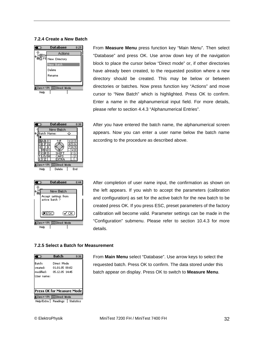#### **7.2.4 Create a New Batch**



From **Measure Menu** press function key "Main Menu". Then select "Database" and press OK. Use arrow down key of the navigation block to place the cursor below "Direct mode" or, if other directories have already been created, to the requested position where a new directory should be created. This may be below or between directories or batches. Now press function key "Actions" and move cursor to "New Batch" which is highlighted. Press OK to confirm. Enter a name in the alphanumerical input field. For more details, please refer to section 4.4.3 "Alphanumerical Entries".



**Database**  $8:44$  $\overline{\phantom{a}}$ New Batch Accept settings from active batch ?  $(\sqrt{C}C)$  $(\overline{\textbf{x}}$ ESC) 当Zero+1Pt | □ Direct Mode Help

After you have entered the batch name, the alphanumerical screen appears. Now you can enter a user name below the batch name according to the procedure as described above.

After completion of user name input, the confirmation as shown on the left appears. If you wish to accept the parameters (calibration and configuration) as set for the active batch for the new batch to be created press OK. If you press ESC, preset parameters of the factory calibration will become valid. Parameter settings can be made in the "Configuration" submenu. Please refer to section 10.4.3 for more details.

#### **7.2.5 Select a Batch for Measurement**

|                                                       | Batch                                           | 9:36 |  |
|-------------------------------------------------------|-------------------------------------------------|------|--|
| Batch:<br>created:<br>modified:<br>User name:         | Direct Mode<br>01.01.05 00:02<br>05.12.05 14:45 |      |  |
| Press OK for Measure Mode<br>{Zero+1Pt   EDirect Mode |                                                 |      |  |
|                                                       | Help/Extra   Readings   Statistics              |      |  |

From **Main Menu** select "Database". Use arrow keys to select the requested batch. Press OK to confirm. The data stored under this batch appear on display. Press OK to switch to **Measure Menu**.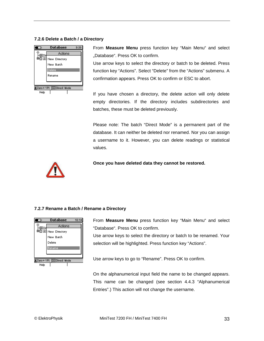## **7.2.6 Delete a Batch / a Directory**



From **Measure Menu** press function key "Main Menu" and select .Database". Press OK to confirm.

Use arrow keys to select the directory or batch to be deleted. Press function key "Actions". Select "Delete" from the "Actions" submenu. A confirmation appears. Press OK to confirm or ESC to abort.

If you have chosen a directory, the delete action will only delete empty directories. If the directory includes subdirectories and batches, these must be deleted previously.

Please note: The batch "Direct Mode" is a permanent part of the database. It can neither be deleted nor renamed. Nor you can assign a username to it. However, you can delete readings or statistical values.



**Once you have deleted data they cannot be restored.** 

## **7.2.7 Rename a Batch / Rename a Directory**



From **Measure Menu** press function key "Main Menu" and select "Database". Press OK to confirm.

Use arrow keys to select the directory or batch to be renamed. Your selection will be highlighted. Press function key "Actions".

Use arrow keys to go to "Rename". Press OK to confirm.

On the alphanumerical input field the name to be changed appears. This name can be changed (see section 4.4.3 "Alphanumerical Entries".) This action will not change the username.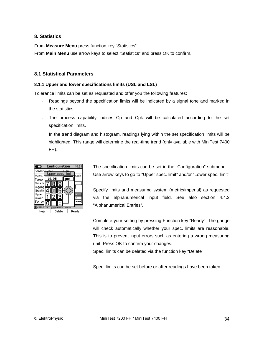## **8. Statistics**

From **Measure Menu** press function key "Statistics".

From **Main Menu** use arrow keys to select "Statistics" and press OK to confirm.

## **8.1 Statistical Parameters**

## **8.1.1 Upper and lower specifications limits (USL and LSL)**

Tolerance limits can be set as requested and offer you the following features:

- Readings beyond the specification limits will be indicated by a signal tone and marked in the statistics.
- The process capability indices Cp and Cpk will be calculated according to the set specification limits.
- In the trend diagram and histogram, readings lying within the set specification limits will be highlighted. This range will determine the real-time trend (only available with MiniTest 7400 FH).



The specification limits can be set in the "Configuration" submenu. . Use arrow keys to go to "Upper spec. limit" and/or "Lower spec. limit"

Specify limits and measuring system (metric/imperial) as requested via the alphanumerical input field. See also section 4.4.2 "Alphanumerical Entries".

Complete your setting by pressing Function key "Ready". The gauge will check automatically whether your spec. limits are reasonable. This is to prevent input errors such as entering a wrong measuring unit. Press OK to confirm your changes.

Spec. limits can be deleted via the function key "Delete".

Spec. limits can be set before or after readings have been taken.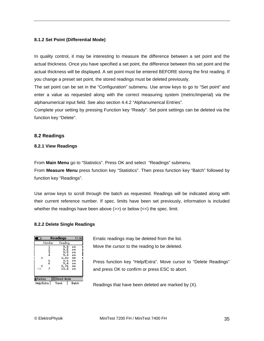## **8.1.2 Set Point (Differential Mode)**

In quality control, it may be interesting to measure the difference between a set point and the actual thickness. Once you have specified a set point, the difference between this set point and the actual thickness will be displayed. A set point must be entered BEFORE storing the first reading. If you change a preset set point, the stored readings must be deleted previously.

The set point can be set in the "Configuration" submenu. Use arrow keys to go to "Set point" and enter a value as requested along with the correct measuring system (metric/imperial) via the alphanumerical input field. See also section 4.4.2 "Alphanumerical Entries".

Complete your setting by pressing Function key "Ready". Set point settings can be deleted via the function key "Delete".

#### **8.2 Readings**

#### **8.2.1 View Readings**

From **Main Menu** go to "Statistics". Press OK and select "Readings" submenu.

From **Measure Menu** press function key "Statistics". Then press function key "Batch" followed by function key "Readings".

Use arrow keys to scroll through the batch as requested. Readings will be indicated along with their current reference number. If spec. limits have been set previously, information is included whether the readings have been above  $(\gg)$  or below  $(\ll)$  the spec. limit.

#### **8.2.2 Delete Single Readings**

| Θ                                   | Readings                                                       | 11:36                                              |  |
|-------------------------------------|----------------------------------------------------------------|----------------------------------------------------|--|
| Number                              | Reading                                                        |                                                    |  |
| 1234<br>×<br>5<br>6<br>×<br>7<br>-> | 9.8<br>9.5<br>9.5<br>9.4<br>3.83<br>9.6<br>9.4<br>3.76<br>13.8 | μм<br>μм<br>μm<br>μm<br>mm<br>μm<br>μм<br>mm<br>μм |  |
| <b>当Factory</b><br>3Direct Mode     |                                                                |                                                    |  |
| Help/Extra                          | Batch<br>Trend                                                 |                                                    |  |

Erratic readings may be deleted from the list. Move the cursor to the reading to be deleted.

Press function key "Help/Extra". Move cursor to "Delete Readings" and press OK to confirm or press ESC to abort.

Readings that have been deleted are marked by (X).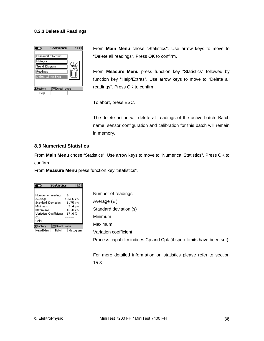#### **8.2.3 Delete all Readings**



From **Main Menu** chose "Statistics". Use arrow keys to move to "Delete all readings". Press OK to confirm.

From **Measure Menu** press function key "Statistics" followed by function key "Help/Extras". Use arrow keys to move to "Delete all readings". Press OK to confirm.

To abort, press ESC.

The delete action will delete all readings of the active batch. Batch name, sensor configuration and calibration for this batch will remain in memory.

#### **8.3 Numerical Statistics**

From **Main Menu** chose "Statistics". Use arrow keys to move to "Numerical Statistics". Press OK to confirm.

From **Measure Menu** press function key "Statistics".

| Statistics                      |          | 11:5'     |
|---------------------------------|----------|-----------|
|                                 |          |           |
| Number of readings:             | 6        |           |
| Average:                        | 10.25 pm |           |
| <b>Standard Deviation</b>       | 1.75 pm  |           |
| Minimum:                        | 9.4 pm   |           |
| Maximum:                        | 13.8 pm  |           |
| <b>Variation Coefficient:</b>   | 17.AZ    |           |
| Cp:                             |          |           |
| Cpk:                            |          |           |
| <b>EDirect Mode</b><br>≰Factory |          |           |
| Help/Extra<br>Batch             |          | Histogram |

Number of readings Average  $(\bar{x})$ Standard deviation (s) Minimum Maximum Variation coefficient Process capability indices Cp and Cpk (if spec. limits have been set).

For more detailed information on statistics please refer to section 15.3.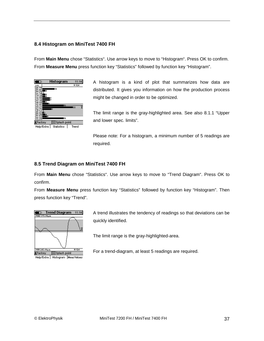## **8.4 Histogram on MiniTest 7400 FH**

From **Main Menu** chose "Statistics". Use arrow keys to move to "Histogram". Press OK to confirm. From **Measure Menu** press function key "Statistics" followed by function key "Histogram".



A histogram is a kind of plot that summarizes how data are distributed. It gives you information on how the production process might be changed in order to be optimized.

The limit range is the gray-highlighted area. See also 8.1.1 "Upper and lower spec. limits".

Please note: For a histogram, a minimum number of 5 readings are required.

## **8.5 Trend Diagram on MiniTest 7400 FH**

From **Main Menu** chose "Statistics". Use arrow keys to move to "Trend Diagram". Press OK to confirm.

From **Measure Menu** press function key "Statistics" followed by function key "Histogram". Then press function key "Trend".



A trend illustrates the tendency of readings so that deviations can be quickly identified.

The limit range is the gray-highlighted-area.

For a trend-diagram, at least 5 readings are required.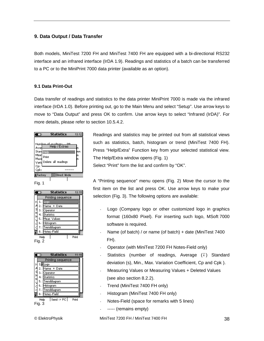## **9. Data Output / Data Transfer**

Both models, MiniTest 7200 FH and MiniTest 7400 FH are equipped with a bi-directional RS232 interface and an infrared interface (IrDA 1.9). Readings and statistics of a batch can be transferred to a PC or to the MiniPrint 7000 data printer (available as an option).

## **9.1 Data Print-Out**

Data transfer of readings and statistics to the data printer MiniPrint 7000 is made via the infrared interface (IrDA 1.0). Before printing out, go to the Main Menu and select "Setup". Use arrow keys to move to "Data Output" and press OK to confirm. Use arrow keys to select "Infrared (IrDA)". For more details, please refer to section 10.5.4.2.



Fig. 1

| Θ            | <b>Statistics</b> | 13:15 |
|--------------|-------------------|-------|
|              | Printing sequence |       |
|              | Logo              |       |
| 2.           | Name + Date       |       |
| م<br>م<br>з. | Operator          |       |
| 4.           | <b>Statistics</b> |       |
| M<br>5.      | lMeas Values      |       |
| 6.           | Histogram         |       |
| 7<br>¢       | Trenddiagram      |       |
| 8.           | Notes-Field       |       |
| Help         |                   | Print |
| Fig. 2       |                   |       |

| O            |                   | <b>Statistics</b> | 11:1  |
|--------------|-------------------|-------------------|-------|
|              |                   | Printing sequence |       |
|              | Logo              |                   |       |
| 22 U D<br>z. | Name              | + Date            |       |
| 3.           | Operator          |                   |       |
| 4.           | <b>Statistics</b> |                   |       |
| 5.           |                   | Trenddiagram      |       |
| ¢            | Histogram<br>6.   |                   |       |
| ¢            | renddiagram<br>7. |                   |       |
| 8.           |                   | Notes-Field       |       |
|              | Heln              | Send -> PC        | Print |

Fig. 3

Readings and statistics may be printed out from all statistical views such as statistics, batch, histogram or trend (MiniTest 7400 FH). Press "Help/Extra" Function key from your selected statistical view. The Help/Extra window opens (Fig. 1) Select "Print" form the list and confirm by "OK".

A "Printing sequence" menu opens (Fig. 2) Move the cursor to the first item on the list and press OK. Use arrow keys to make your selection (Fig. 3). The following options are available:

- Logo (Company logo or other customized logo in graphics format (160x80 Pixel). For inserting such logo, MSoft 7000 software is required.
- Name (of batch) / or name (of batch) + date (MiniTest 7400 FH).
- Operator (with MiniTest 7200 FH Notes-Field only)
- Statistics (number of readings, Average  $(\overline{x})$  Standard deviation (s), Min., Max. Variation Coefficient, Cp and Cpk ).
- Measuring Values or Measuring Values + Deleted Values (see also section 8.2.2).
- Trend (MiniTest 7400 FH only)
- Histogram (MiniTest 7400 FH only)
- Notes-Field (space for remarks with 5 lines)
- ----- (remains empty)

© ElektroPhysik MiniTest 7200 FH / MiniTest 7400 FH 38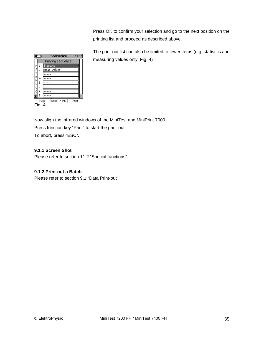Press OK to confirm your selection and go to the next position on the printing list and proceed as described above.

The print-out list can also be limited to fewer items (e.g. statistics and measuring values only, Fig. 4)



Now align the infrared windows of the MiniTest and MiniPrint 7000. Press function key "Print" to start the print-out. To abort, press "ESC".

## **9.1.1 Screen Shot**

Please refer to section 11.2 "Special functions".

## **9.1.2 Print-out a Batch**

Please refer to section 9.1 "Data Print-out"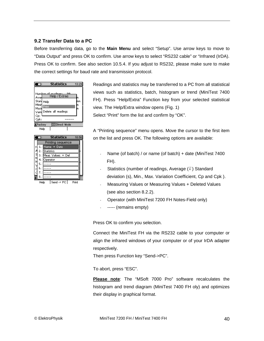## **9.2 Transfer Data to a PC**

Before transferring data, go to the **Main Menu** and select "Setup". Use arrow keys to move to "Data Output" and press OK to confirm. Use arrow keys to select "RS232 cable" or "Infrared (IrDA). Press OK to confirm. See also section 10.5.4. If you adjust to RS232, please make sure to make the correct settings for baud rate and transmission protocol.

| 70                                                                              | <b>Statistics</b>                                  | 13:29 |
|---------------------------------------------------------------------------------|----------------------------------------------------|-------|
| Numi<br>Aver<br>Stan<br>Help<br>Minirl<br>Print<br>Maxi<br>Varid<br>Cp:<br>Cpk: | عصمناه دحم<br>Help / Extras<br>Delete all readings | MΜ    |
| <b>E</b> Factory                                                                | <b>EDirect Mode</b>                                |       |
| Help                                                                            |                                                    |       |

|   | Θ  | <b>Statistics</b> | 10:56 |
|---|----|-------------------|-------|
|   |    | Printing sequence |       |
|   |    | Name<br>- Date    |       |
|   | z. | <b>Statistics</b> |       |
| s | з. | Meas Values + Del |       |
| Μ |    | Operator          |       |
|   | 5  |                   |       |
|   | 6, |                   |       |
|   | 7  |                   |       |
|   | 8  |                   |       |

Send -> PC Print **Help** 

Readings and statistics may be transferred to a PC from all statistical views such as statistics, batch, histogram or trend (MiniTest 7400 FH). Press "Help/Extra" Function key from your selected statistical view. The Help/Extra window opens (Fig. 1) Select "Print" form the list and confirm by "OK".

A "Printing sequence" menu opens. Move the cursor to the first item on the list and press OK. The following options are available:

- Name (of batch) / or name (of batch) + date (MiniTest 7400 FH).
- Statistics (number of readings, Average  $(\overline{x})$ ) Standard deviation (s), Min., Max. Variation Coefficient, Cp and Cpk ).
- Measuring Values or Measuring Values + Deleted Values (see also section 8.2.2).
- Operator (with MiniTest 7200 FH Notes-Field only)
- ----- (remains empty)

Press OK to confirm you selection.

Connect the MiniTest FH via the RS232 cable to your computer or align the infrared windows of your computer or of your IrDA adapter respectively.

Then press Function key "Send->PC".

To abort, press "ESC".

**Please note**: The "MSoft 7000 Pro" software recalculates the histogram and trend diagram (MiniTest 7400 FH oly) and optimizes their display in graphical format.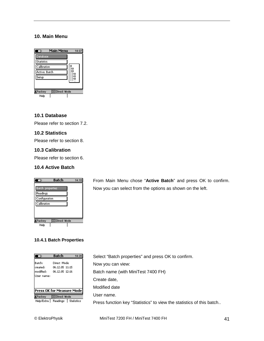## **10. Main Menu**



## **10.1 Database**

Please refer to section 7.2.

## **10.2 Statistics**

Please refer to section 8.

## **10.3 Calibration**

Please refer to section 6.

## **10.4 Active Batch**



From Main Menu chose "**Active Batch**" and press OK to confirm. Now you can select from the options as shown on the left.

## **10.4.1 Batch Properties**

|                                 | Batch                                           |  |
|---------------------------------|-------------------------------------------------|--|
| Batch:<br>created:<br>modified: | Direct Mode<br>06.12.05 11:15<br>06.12.05 12:16 |  |
| User name:                      |                                                 |  |
|                                 |                                                 |  |
|                                 | Press OK for Measure Mode                       |  |
| Factory                         | I⊟Direct Mode                                   |  |
|                                 | Help/Extra   Readings   Statistics              |  |

Select "Batch properties" and press OK to confirm. Now you can view: Batch name (with MiniTest 7400 FH) Create date, Modified date User name. Press function key "Statistics" to view the statistics of this batch..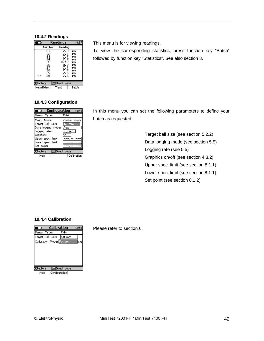#### **10.4.2 Readings**

| Θ                                                              | Readings |                                                                     | 14:37                                                    |
|----------------------------------------------------------------|----------|---------------------------------------------------------------------|----------------------------------------------------------|
| Number                                                         |          | Reading                                                             |                                                          |
| 21<br>22<br>23<br>24<br>25<br>26<br>27<br>28<br>29<br>30<br>-> |          | 7.9<br>7.7<br>7.7<br>7.7<br>3.12<br>8.2<br>7.7<br>7.7<br>7.6<br>7.6 | μм<br>μм<br>μм<br>μм<br>mm<br>μm<br>μm<br>μm<br>μm<br>μм |
| ∃Direct Mode<br><b>ŁF</b> actory                               |          |                                                                     |                                                          |

Help/Extra | Trend | Batch

## **10.4.3 Configuration**

| Configuration<br>O                                                                                                                           |                                      |  |
|----------------------------------------------------------------------------------------------------------------------------------------------|--------------------------------------|--|
| Sensor Type:                                                                                                                                 | FH <sub>4</sub>                      |  |
| Meas. Mode:<br>Target Ball Size:<br>Data logging mode:<br>Logging rate:<br>Graphics:<br>Upper spec, limit<br>Lower spec. limit<br>Set point: | Contin, mode<br>.0 mm<br>Auto<br>sec |  |
| <b>EDirect Mode</b><br>¥Factorγ                                                                                                              |                                      |  |
| Help                                                                                                                                         | Calibration                          |  |

This menu is for viewing readings.

To view the corresponding statistics, press function key "Batch" followed by function key "Statistics". See also section 8.

In this menu you can set the following parameters to define your batch as requested:

> Target ball size (see section 5.2.2) Data logging mode (see section 5.5) Logging rate (see 5.5) Graphics on/off (see section 4.3.2) Upper spec. limit (see section 8.1.1) Lower spec. limit (see section 8.1.1) Set point (see section 8.1.2)

## **10.4.4 Calibration**



Please refer to section 6.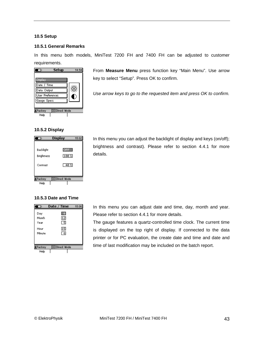#### **10.5 Setup**

#### **10.5.1 General Remarks**

In this menu both models, MiniTest 7200 FH and 7400 FH can be adjusted to customer requirements.



From **Measure Menu** press function key "Main Menu". Use arrow key to select "Setup". Press OK to confirm.

*Use arrow keys to go to the requested item and press OK to confirm.* 

#### **10.5.2 Display**



In this menu you can adjust the backlight of display and keys (on/off); brightness and contrast). Please refer to section 4.4.1 for more details.

## **10.5.3 Date and Time**



In this menu you can adjust date and time, day, month and year. Please refer to section 4.4.1 for more details.

The gauge features a quartz-controlled time clock. The current time is displayed on the top right of display. If connected to the data printer or for PC evaluation, the create date and time and date and time of last modification may be included on the batch report.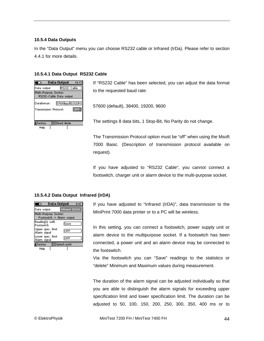#### **10.5.4 Data Outputs**

In the "Data Output" menu you can choose RS232 cable or Infrared (IrDa). Please refer to section 4.4.1 for more details.

#### **10.5.4.1 Data Output RS232 Cable**

| Data Output<br>14:17<br>ত                        |                     |  |
|--------------------------------------------------|---------------------|--|
| Data output                                      | RS232 Cable         |  |
| Multi-Purpose Socket:<br>RS232-Cable Data output |                     |  |
| 57600bps/8D/1S/N<br>Dataformat:                  |                     |  |
| Transmission Protocol:<br>DEE.                   |                     |  |
|                                                  |                     |  |
| <b>E</b> Factory                                 | <b>EDirect Mode</b> |  |
| Help                                             |                     |  |

If "RS232 Cable" has been selected, you can adjust the data format to the requested baud rate:

57600 (default), 38400, 19200, 9600

The settings 8 data bits, 1 Stop-Bit, No Parity do not change.

The Transmission Protocol option must be "off" when using the Msoft 7000 Basic. (Description of transmission protocol available on request).

If you have adjusted to "RS232 Cable", you cannot connect a footswitch, charger unit or alarm device to the multi-purpose socket.

#### **10.5.4.2 Data Output Infrared (IrDA)**

| Data Output<br>8:47<br>ю                           |                        |  |
|----------------------------------------------------|------------------------|--|
| Data output                                        | Infrared (Ir <u>DA</u> |  |
| Multi-Purpose Socket:<br>Footswitch + Alarm output |                        |  |
| Reading(s) with<br>Footswitch                      | Save                   |  |
| Upper spec, limit<br>Alarm signal                  | <b>OFF</b>             |  |
| Lower spec, limit<br>Alam signal                   | <b>OFF</b>             |  |
| ≰Factory                                           | <b>ESplash point</b>   |  |
| Help                                               |                        |  |

If you have adjusted to "Infrared (IrDA)", data transmission to the MiniPrint 7000 data printer or to a PC will be wireless.

In this setting, you can connect a footswitch, power supply unit or alarm device to the multipurpose socket. If a footswitch has been connected, a power unit and an alarm device may be connected to the footswitch.

Via the footswitch you can "Save" readings to the statistics or "delete" Minimum and Maximum values during measurement.

The duration of the alarm signal can be adjusted individually so that you are able to distinguish the alarm signals for exceeding upper specification limit and lower specification limit. The duration can be adjusted to 50, 100, 150, 200, 250, 300, 350, 400 ms or to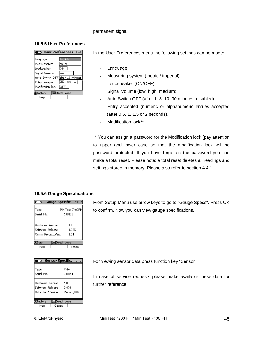#### permanent signal.

#### **10.5.5 User Preferences**

| ල User Preferences 8:44          |               |  |
|----------------------------------|---------------|--|
| Language                         | English       |  |
| Meas,system                      | lmetric       |  |
|                                  |               |  |
| Loudspeaker                      | lоn           |  |
| Signal Volume                    | llow          |  |
| Auto Switch OFF after 10 minutes |               |  |
| Entry accepted                   | after 0.5 sec |  |
| Modification lock                | <b>OFF</b>    |  |
| Factory                          | I⊟Direct Mode |  |
| Help                             |               |  |

In the User Preferences menu the following settings can be made:

- **Language**
- Measuring system (metric / imperial)
- Loudspeaker (ON/OFF).
- Signal Volume (low, high, medium)
- Auto Switch OFF (after 1, 3, 10, 30 minutes, disabled)
- Entry accepted (numeric or alphanumeric entries accepted (after 0,5, 1, 1,5 or 2 seconds).
- Modification lock\*\*

\*\* You can assign a password for the Modification lock (pay attention to upper and lower case so that the modification lock will be password protected. If you have forgotten the password you can make a total reset. Please note: a total reset deletes all readings and settings stored in memory. Please also refer to section 4.4.1.

#### **10.5.6 Gauge Specifications**

| 70                                                         | Gauge Specific.<br>11:37  |
|------------------------------------------------------------|---------------------------|
| Type<br>Serial No.                                         | MiniTest 7400FH<br>100133 |
| Hardware Version<br>Software Release<br>Comm.Process.Vers. | 1.3<br>1.02D<br>1.01      |
| Zero                                                       | I⊟Direct Mode             |
| Help                                                       | Sensor                    |

| Sensor Specific.<br>ರಾ          | 9:42            |
|---------------------------------|-----------------|
|                                 |                 |
| Type                            | FH <sub>4</sub> |
| Serial No.                      | 100051          |
|                                 |                 |
| Hardware Version                | 1.0             |
| Software Release                | 0.879           |
| Data Set Version                | Record 0,02     |
|                                 |                 |
| <b>EDirect Mode</b><br>(Factory |                 |
| Help<br>Gauge                   |                 |
|                                 |                 |

From Setup Menu use arrow keys to go to "Gauge Specs". Press OK to confirm. Now you can view gauge specifications.

For viewing sensor data press function key "Sensor".

In case of service requests please make available these data for further reference.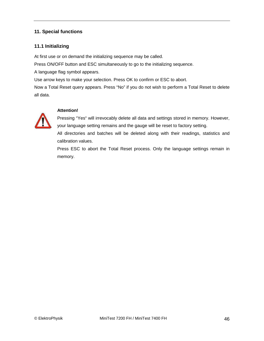## **11. Special functions**

## **11.1 Initializing**

At first use or on demand the initializing sequence may be called.

Press ON/OFF button and ESC simultaneously to go to the initializing sequence.

A language flag symbol appears.

Use arrow keys to make your selection. Press OK to confirm or ESC to abort.

Now a Total Reset query appears. Press "No" if you do not wish to perform a Total Reset to delete all data.



## **Attention!**

Pressing "Yes" will irrevocably delete all data and settings stored in memory. However, your language setting remains and the gauge will be reset to factory setting.

All directories and batches will be deleted along with their readings, statistics and calibration values.

Press ESC to abort the Total Reset process. Only the language settings remain in memory.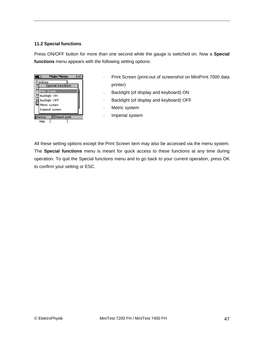## **11.2 Special functions**

Press ON/OFF button for more than one second while the gauge is switched on. Now a **Special functions** menu appears with the following setting options:

|               | Main Menu<br>ю                   | 8:47 |  |
|---------------|----------------------------------|------|--|
|               | Database                         |      |  |
|               | Special functions                |      |  |
| ੋ             | Print Screen                     |      |  |
|               | Backlight ON                     |      |  |
| $\frac{A}{S}$ | Backlight OFF                    |      |  |
|               | Metric system                    |      |  |
|               | Imperial system                  |      |  |
|               | <b>ESplash point</b><br>KFactory |      |  |
|               | Help                             |      |  |

- Print Screen (print-out of screenshot on MiniPrint 7000 data printer)
- Backlight (of display and keyboard) ON
- Backlight (of display and keyboard) OFF
- Metric system
- Imperial system

All these setting options except the Print Screen item may also be accessed via the menu system. The **Special functions** menu is meant for quick access to these functions at any time during operation. To quit the Special functions menu and to go back to your current operation, press OK to confirm your setting or ESC.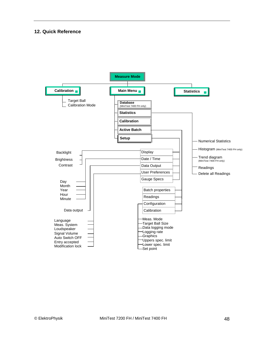## **12. Quick Reference**

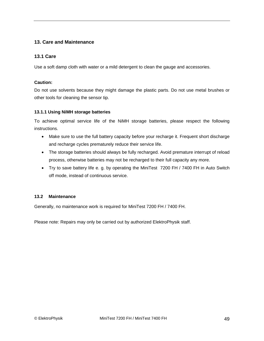## **13. Care and Maintenance**

## **13.1 Care**

Use a soft damp cloth with water or a mild detergent to clean the gauge and accessories.

## **Caution:**

Do not use solvents because they might damage the plastic parts. Do not use metal brushes or other tools for cleaning the sensor tip.

## **13.1.1 Using NiMH storage batteries**

To achieve optimal service life of the NiMH storage batteries, please respect the following instructions.

- Make sure to use the full battery capacity before your recharge it. Frequent short discharge and recharge cycles prematurely reduce their service life.
- The storage batteries should always be fully recharged. Avoid premature interrupt of reload process, otherwise batteries may not be recharged to their full capacity any more.
- Try to save battery life e. g. by operating the MiniTest 7200 FH / 7400 FH in Auto Switch off mode, instead of continuous service.

## **13.2 Maintenance**

Generally, no maintenance work is required for MiniTest 7200 FH / 7400 FH.

Please note: Repairs may only be carried out by authorized ElektroPhysik staff.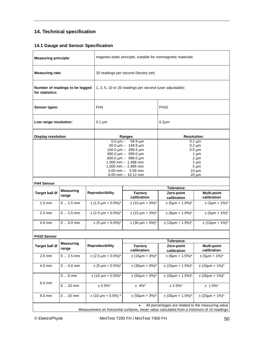# **14. Technical specification**

## **14.1 Gauge and Sensor Specification**

| <b>Measuring principle:</b> |                                                                                                                                               |  | magneto-static principle, suitable for nonmagnetic materials                                                                                                                                                                                                                                                            |                          |                                                                                                                           |                                   |
|-----------------------------|-----------------------------------------------------------------------------------------------------------------------------------------------|--|-------------------------------------------------------------------------------------------------------------------------------------------------------------------------------------------------------------------------------------------------------------------------------------------------------------------------|--------------------------|---------------------------------------------------------------------------------------------------------------------------|-----------------------------------|
| <b>Measuring rate:</b>      |                                                                                                                                               |  | 20 readings per second (factory set)                                                                                                                                                                                                                                                                                    |                          |                                                                                                                           |                                   |
| for statistics:             | Number of readings to be logged                                                                                                               |  | 1, 2, 5, 10 or 20 readings per second (user adjustable)                                                                                                                                                                                                                                                                 |                          |                                                                                                                           |                                   |
| <b>Sensor types:</b>        | FH <sub>4</sub>                                                                                                                               |  | <b>FH10</b>                                                                                                                                                                                                                                                                                                             |                          |                                                                                                                           |                                   |
| Low range resolution:       |                                                                                                                                               |  | $0.1 \mu m$                                                                                                                                                                                                                                                                                                             |                          | $0.2 \mu m$                                                                                                               |                                   |
| <b>Display resolution</b>   |                                                                                                                                               |  |                                                                                                                                                                                                                                                                                                                         | Ranges                   | <b>Resolution:</b>                                                                                                        |                                   |
|                             |                                                                                                                                               |  | $0.0 \,\text{\mu m} - 59.9 \,\text{\mu m}$<br>60.0 $\mu$ m - 149.9 $\mu$ m<br>150.0 $\mu$ m - 299.5 $\mu$ m<br>$300.0 \,\text{\upmu m} - 599.0 \,\text{\upmu m}$<br>600.0 $\mu$ m - 998.0 $\mu$ m<br>$1.000$ mm $- 1.498$ mm<br>$1.500$ mm $-2.995$ mm<br>$3.00 \text{ mm} - 5.99 \text{ mm}$<br>$6.00$ mm $- 10.12$ mm |                          | $0.1 \mu m$<br>$0.2 \mu m$<br>$0.5 \mu m$<br>$1 \mu m$<br>$2 \mu m$<br>$2 \mu m$<br>$5 \mu m$<br>$10 \mu m$<br>$20 \mu m$ |                                   |
| <b>FH4 Sensor</b>           |                                                                                                                                               |  |                                                                                                                                                                                                                                                                                                                         |                          |                                                                                                                           |                                   |
| Target ball Ø               | <b>Measuring</b><br>range                                                                                                                     |  | <b>Reproducibility</b>                                                                                                                                                                                                                                                                                                  | Factory<br>calibration:  | Tolerance:<br>Zero-point<br>calibration                                                                                   | <b>Multi-point</b><br>calibration |
| $1.5 \text{ mm}$            | $0 1.5$ mm                                                                                                                                    |  | $\pm$ (1.5 µm + 0.5%)*                                                                                                                                                                                                                                                                                                  | $\pm$ (10 µm + 3%)*      | $\pm$ (5µm + 1.5%)*                                                                                                       | $\pm$ (3µm + 1%)*                 |
| $2.5 \text{ mm}$            | $02.5$ mm                                                                                                                                     |  | $\pm$ (2.5 µm + 0.5%)*                                                                                                                                                                                                                                                                                                  | $\pm$ (15 µm + 3%)*      | $\pm (8 \mu m + 1.5\%)^*$                                                                                                 | $\pm$ (5µm + 1%)*                 |
| 4.0 mm                      | $04.0$ mm                                                                                                                                     |  | $\pm (5 \,\text{\mu m} + 0.5\%)^*$                                                                                                                                                                                                                                                                                      | $\pm$ (30 µm + 3%)*      | $\pm$ (15µm + 1.5%)*                                                                                                      | $\pm (10 \mu m + 1\%)^*$          |
| FH10 Sensor                 |                                                                                                                                               |  |                                                                                                                                                                                                                                                                                                                         |                          |                                                                                                                           |                                   |
|                             | <b>Measuring</b>                                                                                                                              |  |                                                                                                                                                                                                                                                                                                                         |                          | Tolerance:                                                                                                                |                                   |
| Target ball Ø               | range                                                                                                                                         |  | <b>Reproducibility</b>                                                                                                                                                                                                                                                                                                  | Factory<br>calibration:  | Zero-point<br>calibration                                                                                                 | <b>Multi-point</b><br>calibration |
| $2.5 \text{ mm}$            | $0 2.5$ mm                                                                                                                                    |  | $\pm$ (2.5 µm + 0.5%)*                                                                                                                                                                                                                                                                                                  | $\pm$ (15µm + 3%)*       | $\pm$ (8µm + 1.5%)*                                                                                                       | $\pm (5 \mu m + 1\%)^*$           |
| 4.0 mm                      | $04.0$ mm                                                                                                                                     |  | $\pm (5 \,\mu m + 0.5\%)^*$                                                                                                                                                                                                                                                                                             | $\pm$ (30µm + 3%)*       | $\pm$ (15µm + 1.5%)*                                                                                                      | $\pm (10 \mu m + 1\%)^*$          |
|                             | $06$ mm                                                                                                                                       |  | $\pm$ (10 µm + 0.5%)*                                                                                                                                                                                                                                                                                                   | $± (50 \mu m + 3\%)*$    | $\pm$ (30µm + 1.5%)*                                                                                                      | $\pm (20 \mu m + 1\%)^*$          |
| $6.0 \text{ mm}$            | 6  10 mm                                                                                                                                      |  | $\pm$ 0.5%*                                                                                                                                                                                                                                                                                                             | $± 4\%$ <sup>*</sup>     | $± 2.5\%$ <sup>*</sup>                                                                                                    | $± 1.5\%$ <sup>*</sup>            |
| 9.0 mm                      | $010$ mm                                                                                                                                      |  | $\pm$ (10 µm + 0.5%) *                                                                                                                                                                                                                                                                                                  | $\pm (50 \mu m + 3\%)^*$ | $± (30 \mu m + 1.5\%)*$                                                                                                   | $\pm$ (20µm + 1%)*                |
|                             | All percentages are related to the measuring value<br>Measurement on horizontal surfaces, mean value calculated from a minimum of 10 readings |  |                                                                                                                                                                                                                                                                                                                         |                          |                                                                                                                           |                                   |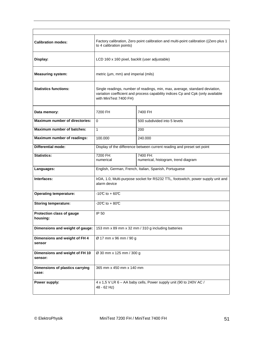| <b>Calibration modes:</b>                 | Factory calibration, Zero point calibration and multi-point calibration ((Zero plus 1)<br>to 4 calibration points)                                                                       |                                                 |
|-------------------------------------------|------------------------------------------------------------------------------------------------------------------------------------------------------------------------------------------|-------------------------------------------------|
| Display:                                  | LCD 160 x 160 pixel, backlit (user adjustable)                                                                                                                                           |                                                 |
| <b>Measuring system:</b>                  | metric (µm, mm) and imperial (mils)                                                                                                                                                      |                                                 |
| <b>Statistics functions:</b>              | Single readings, number of readings, min, max, average, standard deviation,<br>variation coefficient and process capability indices Cp and Cpk (only available<br>with MiniTest 7400 FH) |                                                 |
| Data memory:                              | 7200 FH                                                                                                                                                                                  | 7400 FH                                         |
| <b>Maximum number of directories:</b>     | $\Omega$                                                                                                                                                                                 | 500 subdivided into 5 levels                    |
| Maximum number of batches:                | 1                                                                                                                                                                                        | 200                                             |
| Maximum number of readings:               | 100.000                                                                                                                                                                                  | 240.000                                         |
| <b>Differential mode:</b>                 | Display of the difference between current reading and preset set point                                                                                                                   |                                                 |
| <b>Statistics:</b>                        | 7200 FH:<br>numerical                                                                                                                                                                    | 7400 FH:<br>numerical, histogram, trend diagram |
| Languages:                                | English, German, French, Italian, Spanish, Portuguese                                                                                                                                    |                                                 |
| Interfaces:                               | IrDA, 1.0, Multi-purpose socket for RS232 TTL, footswitch, power supply unit and<br>alarm device                                                                                         |                                                 |
| <b>Operating temperature:</b>             | $-10C$ to + 60°C                                                                                                                                                                         |                                                 |
| <b>Storing temperature:</b>               | -20 $C$ to + 80 $C$                                                                                                                                                                      |                                                 |
| Protection class of gauge<br>housing:     | IP 50                                                                                                                                                                                    |                                                 |
| Dimensions and weight of gauge:           | 153 mm x 89 mm x 32 mm / 310 g including batteries                                                                                                                                       |                                                 |
| Dimensions and weight of FH 4<br>sensor   | Ø 17 mm x 96 mm / 90 g                                                                                                                                                                   |                                                 |
| Dimensions and weight of FH 10<br>sensor: | Ø 30 mm x 125 mm / 300 g                                                                                                                                                                 |                                                 |
| Dimensions of plastics carrying<br>case:  | 365 mm x 450 mm x 140 mm                                                                                                                                                                 |                                                 |
| Power supply:                             | 4 x 1,5 V LR 6 - AA baby cells, Power supply unit (90 to 240V AC /<br>48 - 62 Hz)                                                                                                        |                                                 |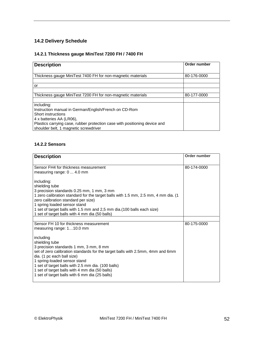# **14.2 Delivery Schedule**

## **14.2.1 Thickness gauge MiniTest 7200 FH / 7400 FH**

| <b>Description</b>                                                         | Order number |
|----------------------------------------------------------------------------|--------------|
|                                                                            |              |
| Thickness gauge MiniTest 7400 FH for non-magnetic materials                | 80-176-0000  |
|                                                                            |              |
| or                                                                         |              |
|                                                                            |              |
| Thickness gauge MiniTest 7200 FH for non-magnetic materials                | 80-177-0000  |
|                                                                            |              |
| including:                                                                 |              |
| Instruction manual in German/English/French on CD-Rom                      |              |
| Short instructions                                                         |              |
| 4 x batteries AA (LR06),                                                   |              |
| Plastics carrying case, rubber protection case with positioning device and |              |
| shoulder belt, 1 magnetic screwdriver                                      |              |

## **14.2.2 Sensors**

| <b>Description</b>                                                                                                                                                                                                                                                                                                                                                              | Order number |
|---------------------------------------------------------------------------------------------------------------------------------------------------------------------------------------------------------------------------------------------------------------------------------------------------------------------------------------------------------------------------------|--------------|
| Sensor FH4 for thickness measurement<br>measuring range: 0  4.0 mm                                                                                                                                                                                                                                                                                                              | 80-174-0000  |
| including:<br>shielding tube                                                                                                                                                                                                                                                                                                                                                    |              |
| 3 precision standards 0.25 mm, 1 mm, 3 mm<br>1 zero calibration standard for the target balls with 1.5 mm, 2.5 mm, 4 mm dia. (1)<br>zero calibration standard per size)<br>1 spring loaded sensor stand                                                                                                                                                                         |              |
| 1 set of target balls with 1.5 mm and 2,5 mm dia. (100 balls each size)<br>1 set of target balls with 4 mm dia (50 balls)                                                                                                                                                                                                                                                       |              |
| Sensor FH 10 for thickness measurement                                                                                                                                                                                                                                                                                                                                          | 80-175-0000  |
| measuring range: 110.0 mm                                                                                                                                                                                                                                                                                                                                                       |              |
| including<br>shielding tube<br>3 precision standards 1 mm, 3 mm, 8 mm<br>set of zero calibration standards for the target balls with 2.5mm, 4mm and 6mm<br>dia. (1 pc each ball size)<br>1 spring-loaded sensor stand<br>1 set of target balls with 2.5 mm dia. (100 balls)<br>1 set of target balls with 4 mm dia (50 balls)<br>1 set of target balls with 6 mm dia (25 balls) |              |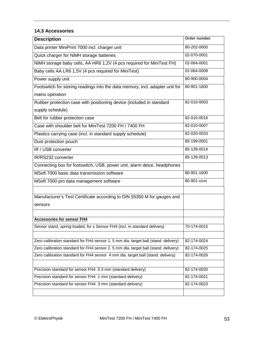## **14.3 Accessories**

| <b>Description</b>                                                                  | <b>Order number</b> |
|-------------------------------------------------------------------------------------|---------------------|
| Data printer MiniPrint 7000 incl. charger unit                                      | 80-202-0000         |
| Quick charger for NiMH storage batteries                                            | 02-070-0001         |
| NiMH storage baby cells, AA HR6 1,2V (4 pcs required for MiniTest FH)               | 02-064-0001         |
| Baby cells AA LR6 1,5V (4 pcs required for MiniTest)                                | 02-064-0008         |
| Power supply unit                                                                   | 80-900-0004         |
| Footswitch for storing readings into the data memory, incl. adapter unit for        | 80-901-1800         |
| mains operation                                                                     |                     |
| Rubber protection case with positioning device (included in standard                | 82-010-0003         |
| supply schedule)                                                                    |                     |
| Belt for rubber protection case                                                     | 82-010-0016         |
| Case with shoulder belt for MiniTest 7200 FH / 7400 FH                              | 82-010-0007         |
| Plastics carrying case (incl. in standard supply schedule)                          | 82-020-0033         |
| Dust protection pouch                                                               | 85-199-0001         |
| IR / USB converter                                                                  | 85-139-0014         |
| IR/RS232 converter                                                                  | 85-139-0013         |
| Connecting box for footswitch, USB, power unit, alarm deice, headphones             |                     |
| MSoft 7000 basic data transmission software                                         | 80-901-1600         |
| MSoft 7000 pro data management software                                             | 80-901-xxxx         |
|                                                                                     |                     |
| Manufacturer's Test Certificate according to DIN 55350 M for gauges and             |                     |
| sensors                                                                             |                     |
|                                                                                     |                     |
| <b>Accessories for sensor FH4</b>                                                   |                     |
| Sensor stand, spring-loaded, for s Sensor FH4 (incl. in standard delivery)          | 70-174-0015         |
|                                                                                     |                     |
| Zero calibration standard for FH4 sensor 1. 5 mm dia. target ball (stand. delivery) | 82-174-0024         |
| Zero calibration standard for FH4 sensor 2. 5 mm dia. target ball (stand. delivery) | 82-174-0025         |
| Zero calibration standard for FH4 sensor 4 mm dia. target ball (stand. delivery)    | 82-174-0026         |
|                                                                                     |                     |
| Precision standard for sensor FH4 0.3 mm (standard delivery)                        | 82-174-0020         |
| Precision standard for sensor FH4 1 mm (standard delivery)                          | 82-174-0021         |
| Precision standard for sensor FH4 3 mm (standard delivery)                          | 82-174-0023         |
|                                                                                     |                     |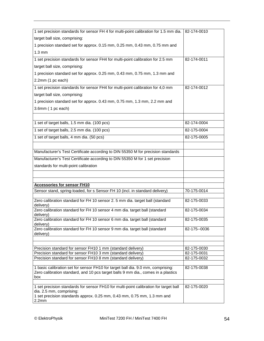| 1 set precision standards for sensor FH 4 for multi-point calibration for 1.5 mm dia.                                                                                                        | 82-174-0010  |
|----------------------------------------------------------------------------------------------------------------------------------------------------------------------------------------------|--------------|
| target ball size, comprising:                                                                                                                                                                |              |
| 1 precision standard set for approx. 0.15 mm, 0.25 mm, 0.43 mm, 0.75 mm and                                                                                                                  |              |
| $1.3 \text{ mm}$                                                                                                                                                                             |              |
| 1 set precision standards for sensor FH4 for multi-point calibration for 2.5 mm                                                                                                              | 82-174-0011  |
| target ball size, comprising:                                                                                                                                                                |              |
| 1 precision standard set for approx. 0.25 mm, 0.43 mm, 0.75 mm, 1.3 mm and                                                                                                                   |              |
| 2.2mm (1 pc each)                                                                                                                                                                            |              |
| 1 set precision standards for sensor FH4 for multi-point calibration for 4,0 mm                                                                                                              | 82-174-0012  |
| target ball size, comprising:                                                                                                                                                                |              |
| 1 precision standard set for approx. 0.43 mm, 0.75 mm, 1.3 mm, 2.2 mm and                                                                                                                    |              |
| 3.6mm (1 pc each)                                                                                                                                                                            |              |
|                                                                                                                                                                                              |              |
| 1 set of target balls, 1.5 mm dia. (100 pcs)                                                                                                                                                 | 82-174-0004  |
| 1 set of target balls, 2.5 mm dia. (100 pcs)                                                                                                                                                 | 82-175-0004  |
| 1 set of target balls, 4 mm dia. (50 pcs)                                                                                                                                                    | 82-175-0005  |
|                                                                                                                                                                                              |              |
| Manufacturer's Test Certificate according to DIN 55350 M for precision standards                                                                                                             |              |
| Manufacturer's Test Certificate according to DIN 55350 M for 1 set precision                                                                                                                 |              |
| standards for multi-point calibration                                                                                                                                                        |              |
|                                                                                                                                                                                              |              |
|                                                                                                                                                                                              |              |
| <b>Accessories for sensor FH10</b><br>Sensor stand, spring-loaded, for s Sensor FH 10 (incl. in standard delivery)                                                                           | 70-175-0014  |
|                                                                                                                                                                                              |              |
| Zero calibration standard for FH 10 sensor 2.5 mm dia. target ball (standard<br>delivery)                                                                                                    | 82-175-0033  |
| Zero calibration standard for FH 10 sensor 4 mm dia. target ball (standard<br>delivery)                                                                                                      | 82-175-0034  |
| Zero calibration standard for FH 10 sensor 6 mm dia. target ball (standard                                                                                                                   | 82-175-0035  |
| delivery)<br>Zero calibration standard for FH 10 sensor 9 mm dia. target ball (standard                                                                                                      | 82-175--0036 |
| delivery)                                                                                                                                                                                    |              |
|                                                                                                                                                                                              |              |
| Precision standard for sensor FH10 1 mm (standard delivery)                                                                                                                                  | 82-175-0030  |
| Precision standard for sensor FH10 3 mm (standard delivery)                                                                                                                                  | 82-175-0031  |
| Precision standard for sensor FH10 8 mm (standard delivery)                                                                                                                                  | 82-175-0032  |
| 1 basic calibration set for sensor FH10 for target ball dia. 9.0 mm, comprising:<br>Zero calibration standard, and 10 pcs target balls 9 mm dia., comes in a plastics<br>box                 | 82-175-0038  |
|                                                                                                                                                                                              |              |
| 1 set precision standards for sensor FH10 for multi-point calibration for target ball<br>dia. 2.5 mm, comprising:<br>1 set precision standards approx. 0.25 mm, 0.43 mm, 0.75 mm, 1.3 mm and | 82-175-0020  |
| 2.2mm                                                                                                                                                                                        |              |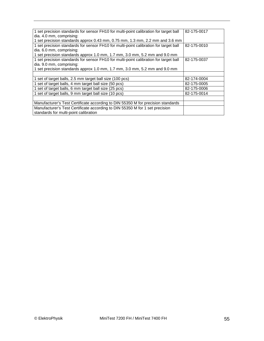| 1 set precision standards for sensor FH10 for multi-point calibration for target ball | 82-175-0017 |
|---------------------------------------------------------------------------------------|-------------|
| dia. 4.0 mm, comprising:                                                              |             |
| 1 set precision standards approx 0.43 mm, 0.75 mm, 1.3 mm, 2.2 mm and 3.6 mm          |             |
| 1 set precision standards for sensor FH10 for multi-point calibration for target ball | 82-175-0010 |
| dia. 6.0 mm, comprising:                                                              |             |
| 1 set precision standards approx 1.0 mm, 1.7 mm, 3.0 mm, 5.2 mm and 9.0 mm            |             |
| 1 set precision standards for sensor FH10 for multi-point calibration for target ball | 82-175-0037 |
| dia. 9.0 mm, comprising:                                                              |             |
| 1 set precision standards approx 1.0 mm, 1.7 mm, 3.0 mm, 5.2 mm and 9.0 mm            |             |
|                                                                                       |             |
| 1 set of target balls, 2.5 mm target ball size (100 pcs)                              | 82-174-0004 |
| 1 set of target balls, 4 mm target ball size (50 pcs)                                 | 82-175-0005 |
| 1 set of target balls, 6 mm target ball size (25 pcs)                                 | 82-175-0006 |
| 1 set of target balls, 9 mm target ball size (10 pcs)                                 | 82-175-0014 |
|                                                                                       |             |
| Manufacturer's Test Certificate according to DIN 55350 M for precision standards      |             |
| Manufacturer's Test Certificate according to DIN 55350 M for 1 set precision          |             |
| standards for multi-point calibration                                                 |             |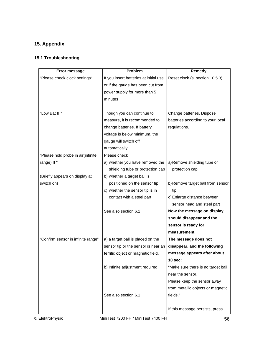# **15. Appendix**

# **15.1 Troubleshooting**

| <b>Error message</b>               | Problem                                | Remedy                             |
|------------------------------------|----------------------------------------|------------------------------------|
| "Please check clock settings"      | If you insert batteries at initial use | Reset clock (s. section 10.5.3)    |
|                                    | or if the gauge has been cut from      |                                    |
|                                    | power supply for more than 5           |                                    |
|                                    | minutes                                |                                    |
|                                    |                                        |                                    |
| "Low Bat !!!"                      | Though you can continue to             | Change batteries. Dispose          |
|                                    | measure, it is recommended to          | batteries according to your local  |
|                                    | change batteries. If battery           | regulations.                       |
|                                    | voltage is below minimum, the          |                                    |
|                                    | gauge will switch off                  |                                    |
|                                    | automatically.                         |                                    |
| "Please hold probe in air(infinite | Please check                           |                                    |
| range) !! "                        | a) whether you have removed the        | a) Remove shielding tube or        |
|                                    | shielding tube or protection cap       | protection cap                     |
| (Briefly appears on display at     | b) whether a target ball is            |                                    |
| switch on)                         | positioned on the sensor tip           | b) Remove target ball from sensor  |
|                                    | c) whether the sensor tip is in        | tip                                |
|                                    | contact with a steel part              | c) Enlarge distance between        |
|                                    |                                        | sensor head and steel part         |
|                                    | See also section 6.1                   | Now the message on display         |
|                                    |                                        | should disappear and the           |
|                                    |                                        | sensor is ready for                |
|                                    |                                        | measurement.                       |
| "Confirm sensor in infinite range" | a) a target ball is placed on the      | The message does not               |
|                                    | sensor tip or the sensor is near an    | disappear, and the following       |
|                                    | ferritic object or magnetic field.     | message appears after about        |
|                                    |                                        | $10$ sec:                          |
|                                    | b) Infinite adjustment required.       | "Make sure there is no target ball |
|                                    |                                        | near the sensor.                   |
|                                    |                                        | Please keep the sensor away        |
|                                    |                                        | from metallic objects or magnetic  |
|                                    | See also section 6.1                   | fields."                           |
|                                    |                                        |                                    |
|                                    |                                        | If this message persists, press    |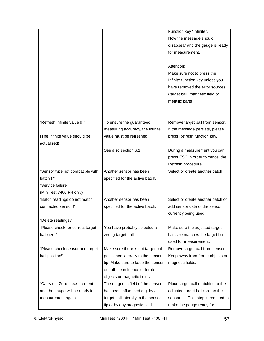|                                  |                                     | Function key "Infinite".             |
|----------------------------------|-------------------------------------|--------------------------------------|
|                                  |                                     | Now the message should               |
|                                  |                                     | disappear and the gauge is ready     |
|                                  |                                     | for measurement.                     |
|                                  |                                     |                                      |
|                                  |                                     | Attention:                           |
|                                  |                                     | Make sure not to press the           |
|                                  |                                     | Infinite function key unless you     |
|                                  |                                     | have removed the error sources       |
|                                  |                                     | (target ball, magnetic field or      |
|                                  |                                     | metallic parts).                     |
|                                  |                                     |                                      |
|                                  |                                     |                                      |
| "Refresh infinite value !!!"     | To ensure the guaranteed            | Remove target ball from sensor.      |
|                                  | measuring accuracy, the infinite    | If the message persists, please      |
| (The infinite value should be    | value must be refreshed.            | press Refresh function key.          |
| actualized)                      |                                     |                                      |
|                                  | See also section 6.1                | During a measurement you can         |
|                                  |                                     | press ESC in order to cancel the     |
|                                  |                                     |                                      |
|                                  |                                     | Refresh procedure.                   |
| "Sensor type not compatible with | Another sensor has been             | Select or create another batch.      |
| batch ! "                        | specified for the active batch.     |                                      |
| "Service failure"                |                                     |                                      |
| (MiniTest 7400 FH only)          |                                     |                                      |
| "Batch readings do not match     | Another sensor has been             | Select or create another batch or    |
| connected sensor!"               | specified for the active batch.     | add sensor data of the sensor        |
|                                  |                                     | currently being used.                |
| "Delete readings?"               |                                     |                                      |
| "Please check for correct target | You have probably selected a        | Make sure the adjusted target        |
| ball size!"                      | wrong target ball.                  | ball size matches the target ball    |
|                                  |                                     | used for measurement.                |
| "Please check sensor and target  | Make sure there is not target ball  | Remove target ball from sensor.      |
| ball position!"                  | positioned laterally to the sensor  | Keep away from ferrite objects or    |
|                                  | tip. Make sure to keep the sensor   | magnetic fields.                     |
|                                  | out off the influence of ferrite    |                                      |
|                                  | objects or magnetic fields.         |                                      |
| "Carry out Zero measurement      | The magnetic field of the sensor    | Place target ball matching to the    |
| and the gauge will be ready for  | has been influenced e.g. by a       | adjusted target ball size on the     |
| measurement again.               | target ball laterally to the sensor | sensor tip. This step is required to |
|                                  | tip or by any magnetic field.       | make the gauge ready for             |
|                                  |                                     |                                      |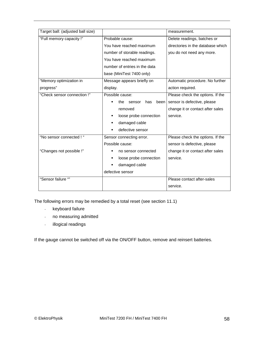| Target ball: (adjusted ball size) |                               | measurement.                      |
|-----------------------------------|-------------------------------|-----------------------------------|
| "Full memory capacity !"          | Probable cause:               | Delete readings, batches or       |
|                                   | You have reached maximum      | directories in the database which |
|                                   | number of storable readings.  | you do not need any more.         |
|                                   | You have reached maximum      |                                   |
|                                   | number of entries in the data |                                   |
|                                   | base (MiniTest 7400 only)     |                                   |
| "Memory optimization in           | Message appears briefly on    | Automatic procedure. No further   |
| progress"                         | display.                      | action required.                  |
| "Check sensor connection!"        | Possible cause:               | Please check the options. If the  |
|                                   | the<br>sensor<br>has<br>been  | sensor is defective, please       |
|                                   | removed                       | change it or contact after sales  |
|                                   | loose probe connection        | service.                          |
|                                   | damaged cable                 |                                   |
|                                   | defective sensor              |                                   |
| "No sensor connected ! "          | Sensor connecting error.      | Please check the options. If the  |
|                                   | Possible cause:               | sensor is defective, please       |
| "Changes not possible !"          | no sensor connected           | change it or contact after sales  |
|                                   | loose probe connection        | service.                          |
|                                   | damaged cable                 |                                   |
|                                   | defective sensor              |                                   |
| "Sensor failure ""                |                               | Please contact after-sales        |
|                                   |                               | service.                          |

The following errors may be remedied by a total reset (see section 11.1)

- keyboard failure
- no measuring admitted
- illogical readings

If the gauge cannot be switched off via the ON/OFF button, remove and reinsert batteries.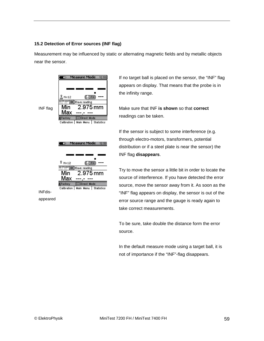## **15.2 Detection of Error sources (INF flag)**

Measurement may be influenced by static or alternating magnetic fields and by metallic objects near the sensor.

|                 | Measure Mode<br>m.<br>12:53                                                                                                                                                              |
|-----------------|------------------------------------------------------------------------------------------------------------------------------------------------------------------------------------------|
| <b>INF</b> flag | $\frac{1}{\mathsf{NF}}$ N=12<br>$(6.0)$ FH<br><b>SETPOINT DK</b> Save reading<br>2.975 mm<br>Min<br>Max<br><b>当Factory</b><br><b>EDirect Mode</b><br>Main Menu Statistics<br>Calibration |
|                 | Measure Mode<br>ю<br>12:53                                                                                                                                                               |
|                 | <sup>Ω</sup> N=12<br>$(6,0)$ FH                                                                                                                                                          |
|                 | SETPOINT DK Save reading                                                                                                                                                                 |
|                 | $2.975$ mm<br>Min<br>Max                                                                                                                                                                 |
|                 | <b>X</b> Factory<br><b>Direct Mode</b>                                                                                                                                                   |
|                 | Calibration  <br>Main Menu   Statistics                                                                                                                                                  |
| <b>INFdis-</b>  |                                                                                                                                                                                          |

appeared

If no target ball is placed on the sensor, the "INF" flag appears on display. That means that the probe is in the infinity range.

Make sure that INF **is shown** so that **correct** readings can be taken.

If the sensor is subject to some interference (e.g. through electro-motors, transformers, potential distribution or if a steel plate is near the sensor) the INF flag **disappears**.

Try to move the sensor a little bit in order to locate the source of interference. If you have detected the error source, move the sensor away from it. As soon as the "INF" flag appears on display, the sensor is out of the error source range and the gauge is ready again to take correct measurements.

To be sure, take double the distance form the error source.

In the default measure mode using a target ball, it is not of importance if the "INF"-flag disappears.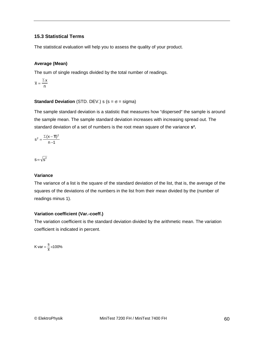## **15.3 Statistical Terms**

The statistical evaluation will help you to assess the quality of your product.

## **Average (Mean)**

The sum of single readings divided by the total number of readings.

$$
\overline{x} = \frac{\Sigma x}{n}
$$

## **Standard Deviation** (STD. DEV.) s ( $s = \sigma$  = sigma)

The sample standard deviation is a statistic that measures how "dispersed" the sample is around the sample mean. The sample standard deviation increases with increasing spread out. The standard deviation of a set of numbers is the root mean square of the variance **s².**

$$
s^2 = \frac{\Sigma(x-\overline{x})^2}{n-1}
$$

$$
s\!=\!\sqrt{s^2}
$$

## **Variance**

The variance of a list is the square of the standard deviation of the list, that is, the average of the squares of the deviations of the numbers in the list from their mean divided by the (number of readings minus 1).

## **Variation coefficient (Var.-coeff.)**

The variation coefficient is the standard deviation divided by the arithmetic mean. The variation coefficient is indicated in percent.

K var =  $\frac{s}{\overline{x}}$  ×100%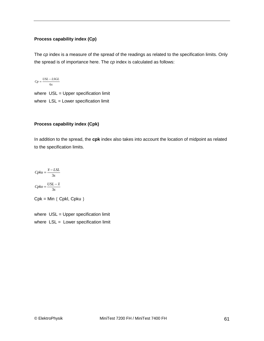## **Process capability index (Cp)**

The *cp* index is a measure of the spread of the readings as related to the specification limits. Only the spread is of importance here. The *cp* index is calculated as follows:

$$
C_p = \frac{USL - LSGL}{6s}
$$

where USL = Upper specification limit where LSL = Lower specification limit

## **Process capability index (Cpk)**

In addition to the spread, the **cpk** index also takes into account the location of midpoint as related to the specification limits.

$$
Cpku = \frac{\overline{x} - LSL}{3s}
$$

$$
Cpko = \frac{USL - \overline{x}}{3s}
$$

 $Cpk = Min \{ Cpkl, Cpku \}$ 

where USL = Upper specification limit where  $LSL = Lower specification limit$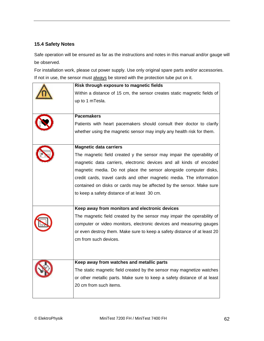## **15.4 Safety Notes**

Safe operation will be ensured as far as the instructions and notes in this manual and/or gauge will be observed.

For installation work, please cut power supply. Use only original spare parts and/or accessories. If not in use, the sensor must always be stored with the protection tube put on it.

| Risk through exposure to magnetic fields                                 |
|--------------------------------------------------------------------------|
| Within a distance of 15 cm, the sensor creates static magnetic fields of |
| up to 1 mTesla.                                                          |
|                                                                          |
| <b>Pacemakers</b>                                                        |
| Patients with heart pacemakers should consult their doctor to clarify    |
| whether using the magnetic sensor may imply any health risk for them.    |
|                                                                          |
| <b>Magnetic data carriers</b>                                            |
| The magnetic field created y the sensor may impair the operability of    |
| magnetic data carriers, electronic devices and all kinds of encoded      |
| magnetic media. Do not place the sensor alongside computer disks,        |
| credit cards, travel cards and other magnetic media. The information     |
| contained on disks or cards may be affected by the sensor. Make sure     |
| to keep a safety distance of at least 30 cm.                             |
|                                                                          |
| Keep away from monitors and electronic devices                           |
| The magnetic field created by the sensor may impair the operability of   |
| computer or video monitors, electronic devices and measuring gauges      |
| or even destroy them. Make sure to keep a safety distance of at least 20 |
| cm from such devices.                                                    |
|                                                                          |
|                                                                          |
| Keep away from watches and metallic parts                                |
| The static magnetic field created by the sensor may magnetize watches    |
| or other metallic parts. Make sure to keep a safety distance of at least |
| 20 cm from such items.                                                   |
|                                                                          |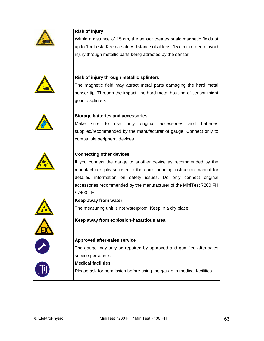| <b>Risk of injury</b>                                                            |
|----------------------------------------------------------------------------------|
| Within a distance of 15 cm, the sensor creates static magnetic fields of         |
| up to 1 mTesla Keep a safety distance of at least 15 cm in order to avoid        |
| injury through metallic parts being attracted by the sensor                      |
|                                                                                  |
|                                                                                  |
| Risk of injury through metallic splinters                                        |
| The magnetic field may attract metal parts damaging the hard metal               |
| sensor tip. Through the impact, the hard metal housing of sensor might           |
| go into splinters.                                                               |
|                                                                                  |
| <b>Storage batteries and accessories</b>                                         |
| original<br>batteries<br>Make<br>only<br>accessories<br>and<br>sure<br>to<br>use |
| supplied/recommended by the manufacturer of gauge. Connect only to               |
| compatible peripheral devices.                                                   |
|                                                                                  |
| <b>Connecting other devices</b>                                                  |
| If you connect the gauge to another device as recommended by the                 |
| manufacturer, please refer to the corresponding instruction manual for           |
| detailed information on safety issues. Do only connect original                  |
| accessories recommended by the manufacturer of the MiniTest 7200 FH              |
| /7400 FH.                                                                        |
| Keep away from water                                                             |
| The measuring unit is not waterproof. Keep in a dry place.                       |
|                                                                                  |
| Keep away from explosion-hazardous area                                          |
|                                                                                  |
| Approved after-sales service                                                     |
| The gauge may only be repaired by approved and qualified after-sales             |
| service personnel.                                                               |
| <b>Medical facilities</b>                                                        |
| Please ask for permission before using the gauge in medical facilities.          |
|                                                                                  |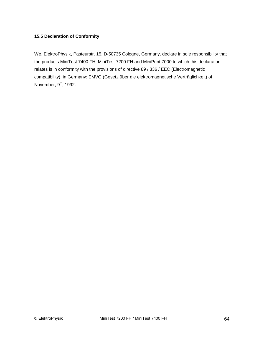## **15.5 Declaration of Conformity**

We, ElektroPhysik, Pasteurstr. 15, D-50735 Cologne, Germany, declare in sole responsibility that the products MiniTest 7400 FH, MiniTest 7200 FH and MiniPrint 7000 to which this declaration relates is in conformity with the provisions of directive 89 / 336 / EEC (Electromagnetic compatibility), in Germany: EMVG (Gesetz über die elektromagnetische Verträglichkeit) of November,  $9<sup>th</sup>$ , 1992.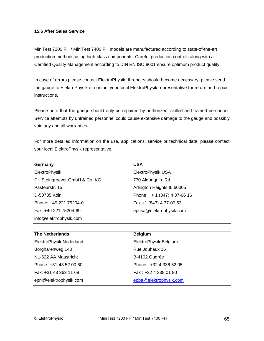## **15.6 After Sales Service**

MiniTest 7200 FH / MiniTest 7400 FH models are manufactured according to state-of-the-art production methods using high-class components. Careful production controls along with a Certified Quality Management according to DIN EN ISO 9001 ensure optimum product quality.

In case of errors please contact ElektroPhysik. If repairs should become necessary, please send the gauge to ElektroPhysik or contact your local ElektroPhysik representative for return and repair instructions.

Please note that the gauge should only be repaired by authorized, skilled and trained personnel. Service attempts by untrained personnel could cause extensive damage to the gauge and possibly void any and all warranties.

For more detailed information on the use, applications, service or technical data, please contact your local ElektroPhysik representative.

| Germany                        | <b>USA</b>                    |
|--------------------------------|-------------------------------|
| ElektroPhysik                  | ElektroPhysik USA             |
| Dr. Steingroever GmbH & Co. KG | 770 Algonquin Rd.             |
| Pasteurstr. 15                 | Arlington Heights IL 60005    |
| D-50735 Köln                   | Phone: $+ 1 (847) 4 37-66 16$ |
| Phone: +49 221 75204-0         | Fax +1 (847) 4 37-00 53       |
| Fax: +49 221 75204-69          | epusa@elektrophysik.com       |
| info@elektrophysik.com         |                               |
|                                |                               |
| <b>The Netherlands</b>         |                               |
|                                | <b>Belgium</b>                |
| ElektroPhysik Nederland        | ElektroPhysik Belgium         |
| Borgharenweg 140               | Rue Jouhaux 16                |
| NL-622 AA Maastricht           | B-4102 Ougrée                 |
| Phone: +31-43 52 00 60         | Phone: +32 4 336 52 05        |
| Fax: +31 43 363 11 68          | Fax: $+32$ 4 338 01 80        |